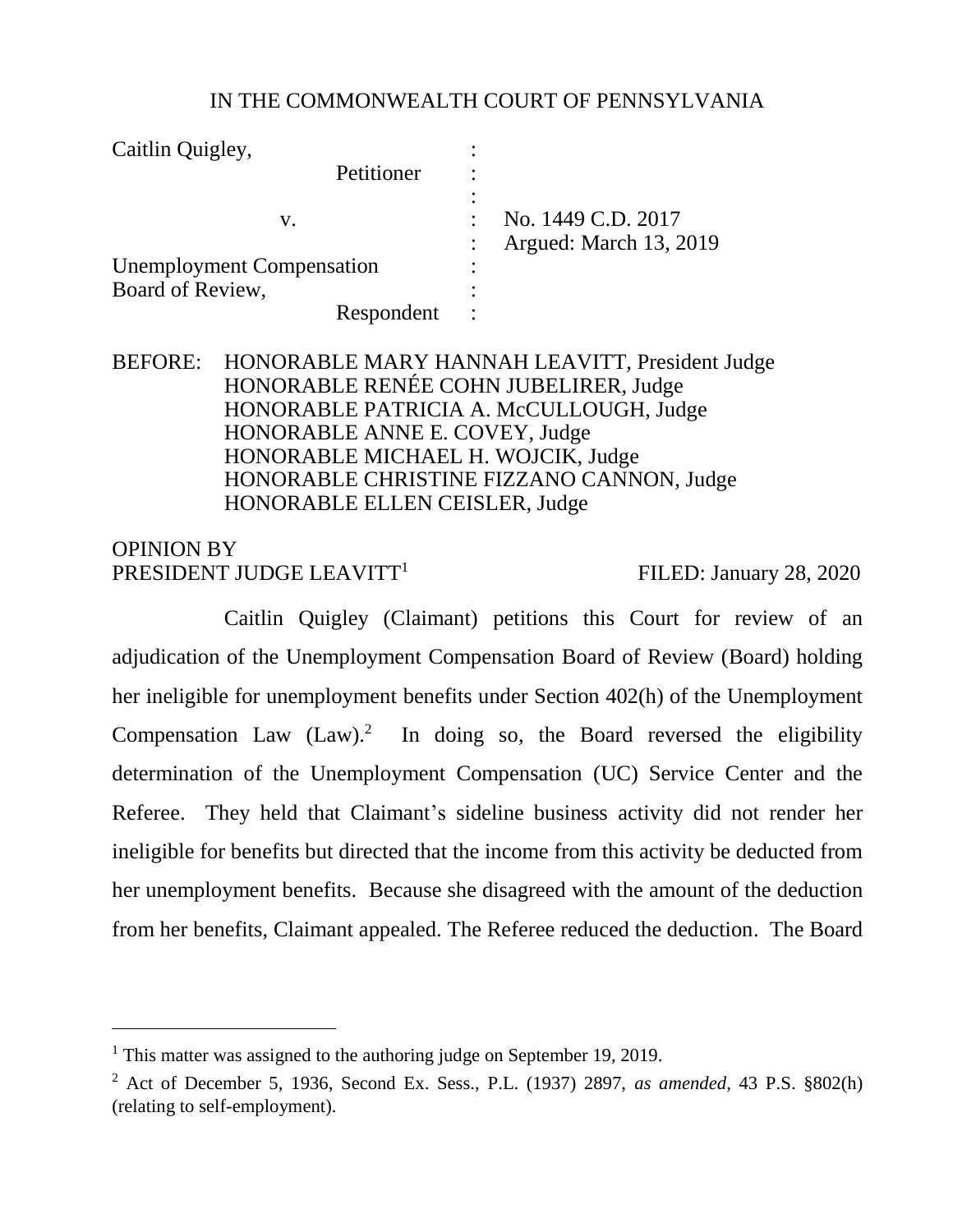# IN THE COMMONWEALTH COURT OF PENNSYLVANIA

| Caitlin Quigley,                 |            |   |                        |
|----------------------------------|------------|---|------------------------|
|                                  | Petitioner |   |                        |
|                                  |            |   | No. 1449 C.D. 2017     |
| V.                               |            |   | Argued: March 13, 2019 |
| <b>Unemployment Compensation</b> |            | ٠ |                        |
| Board of Review,                 |            |   |                        |
|                                  | Respondent |   |                        |

# BEFORE: HONORABLE MARY HANNAH LEAVITT, President Judge HONORABLE RENÉE COHN JUBELIRER, Judge HONORABLE PATRICIA A. McCULLOUGH, Judge HONORABLE ANNE E. COVEY, Judge HONORABLE MICHAEL H. WOJCIK, Judge HONORABLE CHRISTINE FIZZANO CANNON, Judge HONORABLE ELLEN CEISLER, Judge

# OPINION BY PRESIDENT JUDGE LEAVITT<sup>1</sup>

l

FILED: January 28, 2020

Caitlin Quigley (Claimant) petitions this Court for review of an adjudication of the Unemployment Compensation Board of Review (Board) holding her ineligible for unemployment benefits under Section 402(h) of the Unemployment Compensation Law  $(Law)^2$  In doing so, the Board reversed the eligibility determination of the Unemployment Compensation (UC) Service Center and the Referee. They held that Claimant's sideline business activity did not render her ineligible for benefits but directed that the income from this activity be deducted from her unemployment benefits. Because she disagreed with the amount of the deduction from her benefits, Claimant appealed. The Referee reduced the deduction. The Board

<sup>&</sup>lt;sup>1</sup> This matter was assigned to the authoring judge on September 19, 2019.

<sup>2</sup> Act of December 5, 1936, Second Ex. Sess., P.L. (1937) 2897, *as amended*, 43 P.S. §802(h) (relating to self-employment).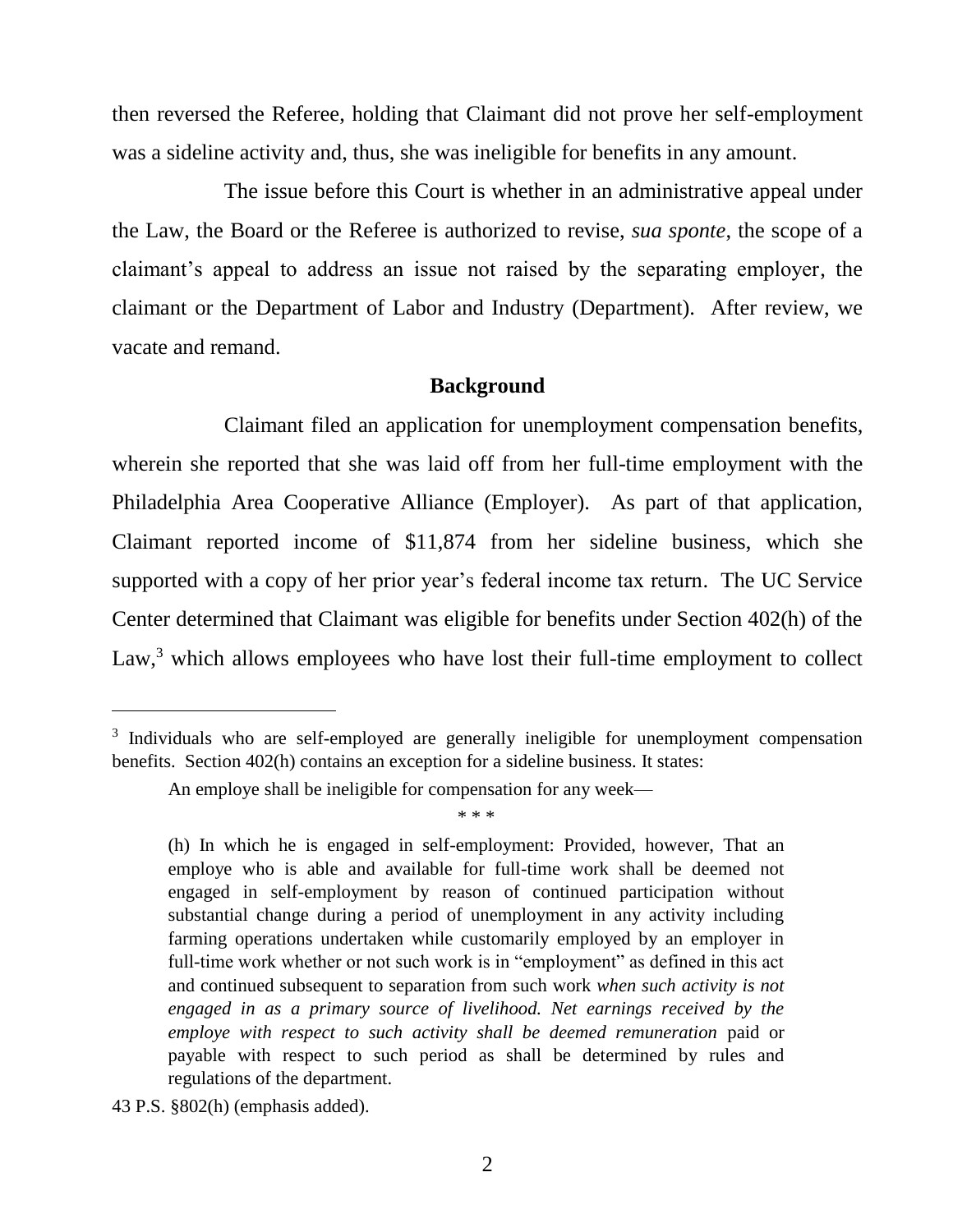then reversed the Referee, holding that Claimant did not prove her self-employment was a sideline activity and, thus, she was ineligible for benefits in any amount.

The issue before this Court is whether in an administrative appeal under the Law, the Board or the Referee is authorized to revise, *sua sponte*, the scope of a claimant's appeal to address an issue not raised by the separating employer, the claimant or the Department of Labor and Industry (Department). After review, we vacate and remand.

## **Background**

Claimant filed an application for unemployment compensation benefits, wherein she reported that she was laid off from her full-time employment with the Philadelphia Area Cooperative Alliance (Employer). As part of that application, Claimant reported income of \$11,874 from her sideline business, which she supported with a copy of her prior year's federal income tax return. The UC Service Center determined that Claimant was eligible for benefits under Section 402(h) of the Law, $3$  which allows employees who have lost their full-time employment to collect

\* \* \*

<sup>&</sup>lt;sup>3</sup> Individuals who are self-employed are generally ineligible for unemployment compensation benefits. Section 402(h) contains an exception for a sideline business. It states:

An employe shall be ineligible for compensation for any week—

<sup>(</sup>h) In which he is engaged in self-employment: Provided, however, That an employe who is able and available for full-time work shall be deemed not engaged in self-employment by reason of continued participation without substantial change during a period of unemployment in any activity including farming operations undertaken while customarily employed by an employer in full-time work whether or not such work is in "employment" as defined in this act and continued subsequent to separation from such work *when such activity is not engaged in as a primary source of livelihood. Net earnings received by the employe with respect to such activity shall be deemed remuneration* paid or payable with respect to such period as shall be determined by rules and regulations of the department.

<sup>43</sup> P.S. §802(h) (emphasis added).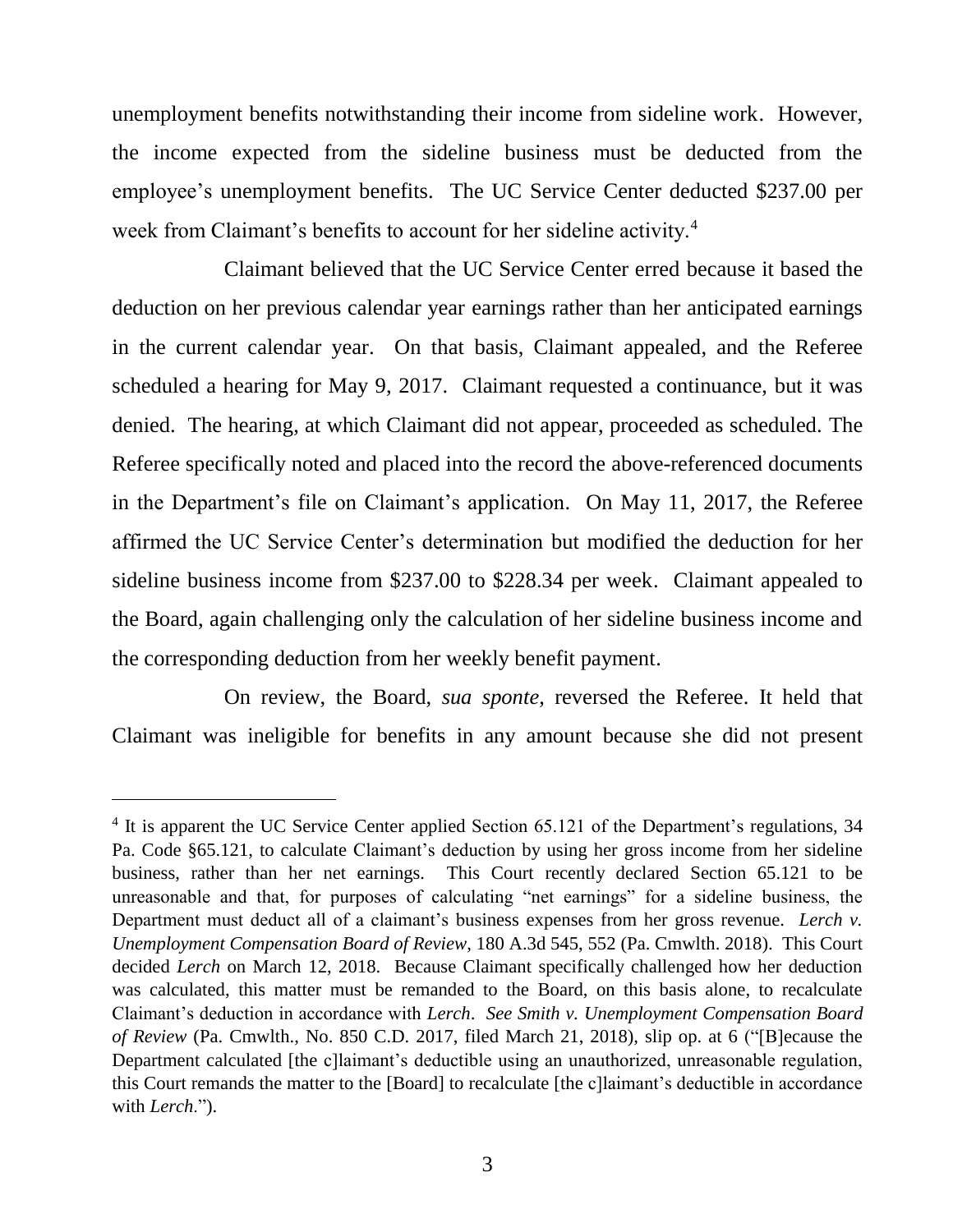unemployment benefits notwithstanding their income from sideline work. However, the income expected from the sideline business must be deducted from the employee's unemployment benefits. The UC Service Center deducted \$237.00 per week from Claimant's benefits to account for her sideline activity.<sup>4</sup>

Claimant believed that the UC Service Center erred because it based the deduction on her previous calendar year earnings rather than her anticipated earnings in the current calendar year. On that basis, Claimant appealed, and the Referee scheduled a hearing for May 9, 2017. Claimant requested a continuance, but it was denied. The hearing, at which Claimant did not appear, proceeded as scheduled. The Referee specifically noted and placed into the record the above-referenced documents in the Department's file on Claimant's application. On May 11, 2017, the Referee affirmed the UC Service Center's determination but modified the deduction for her sideline business income from \$237.00 to \$228.34 per week. Claimant appealed to the Board, again challenging only the calculation of her sideline business income and the corresponding deduction from her weekly benefit payment.

On review, the Board, *sua sponte*, reversed the Referee. It held that Claimant was ineligible for benefits in any amount because she did not present

<sup>&</sup>lt;sup>4</sup> It is apparent the UC Service Center applied Section 65.121 of the Department's regulations, 34 Pa. Code §65.121, to calculate Claimant's deduction by using her gross income from her sideline business, rather than her net earnings. This Court recently declared Section 65.121 to be unreasonable and that, for purposes of calculating "net earnings" for a sideline business, the Department must deduct all of a claimant's business expenses from her gross revenue. *Lerch v. Unemployment Compensation Board of Review*, 180 A.3d 545, 552 (Pa. Cmwlth. 2018). This Court decided *Lerch* on March 12, 2018. Because Claimant specifically challenged how her deduction was calculated, this matter must be remanded to the Board, on this basis alone, to recalculate Claimant's deduction in accordance with *Lerch*. *See Smith v. Unemployment Compensation Board of Review* (Pa. Cmwlth., No. 850 C.D. 2017, filed March 21, 2018), slip op. at 6 ("[B]ecause the Department calculated [the c]laimant's deductible using an unauthorized, unreasonable regulation, this Court remands the matter to the [Board] to recalculate [the c]laimant's deductible in accordance with *Lerch*.").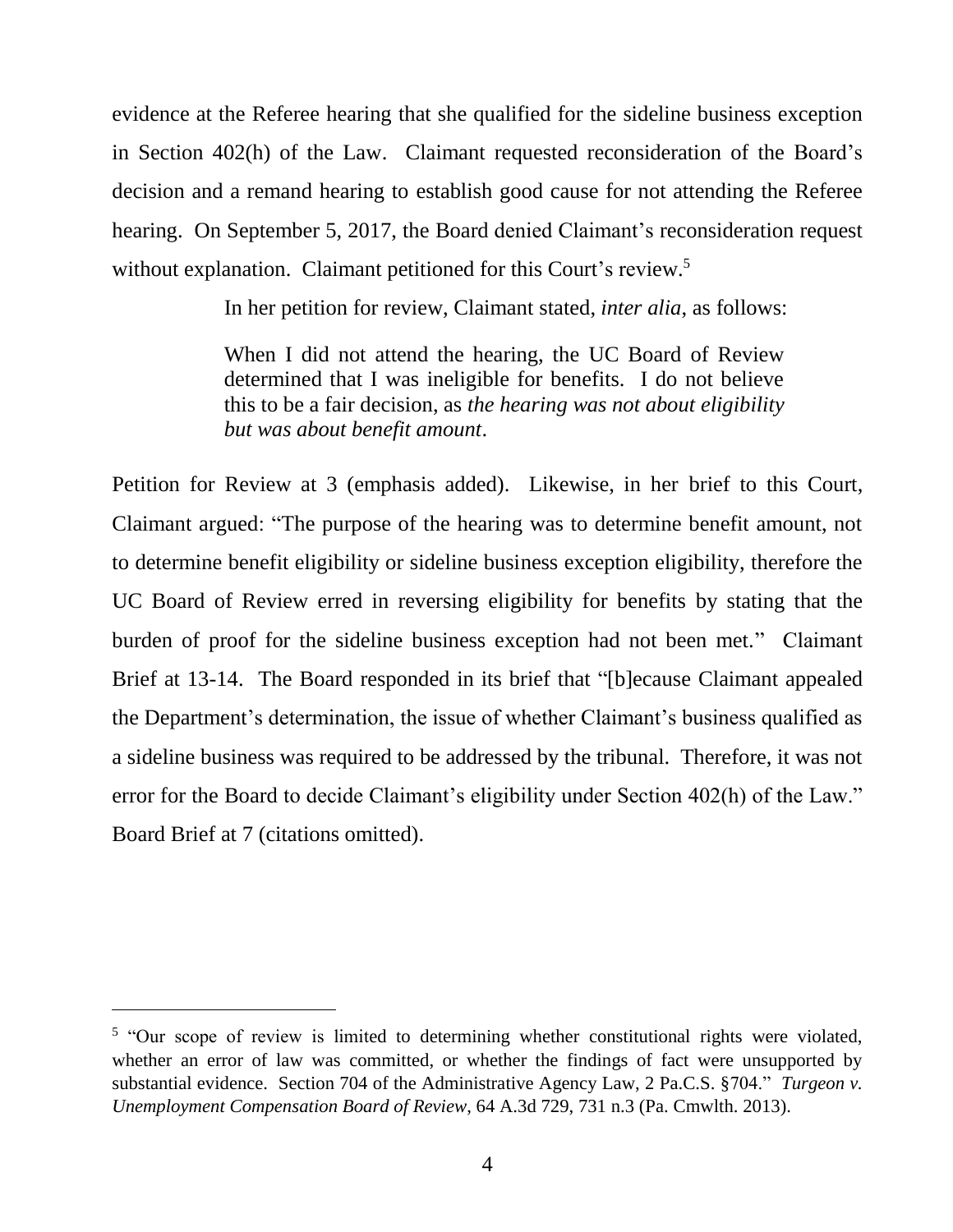evidence at the Referee hearing that she qualified for the sideline business exception in Section 402(h) of the Law. Claimant requested reconsideration of the Board's decision and a remand hearing to establish good cause for not attending the Referee hearing. On September 5, 2017, the Board denied Claimant's reconsideration request without explanation. Claimant petitioned for this Court's review.<sup>5</sup>

In her petition for review, Claimant stated, *inter alia*, as follows:

When I did not attend the hearing, the UC Board of Review determined that I was ineligible for benefits. I do not believe this to be a fair decision, as *the hearing was not about eligibility but was about benefit amount*.

Petition for Review at 3 (emphasis added). Likewise, in her brief to this Court, Claimant argued: "The purpose of the hearing was to determine benefit amount, not to determine benefit eligibility or sideline business exception eligibility, therefore the UC Board of Review erred in reversing eligibility for benefits by stating that the burden of proof for the sideline business exception had not been met." Claimant Brief at 13-14. The Board responded in its brief that "[b]ecause Claimant appealed the Department's determination, the issue of whether Claimant's business qualified as a sideline business was required to be addressed by the tribunal. Therefore, it was not error for the Board to decide Claimant's eligibility under Section 402(h) of the Law." Board Brief at 7 (citations omitted).

<sup>&</sup>lt;sup>5</sup> "Our scope of review is limited to determining whether constitutional rights were violated, whether an error of law was committed, or whether the findings of fact were unsupported by substantial evidence. Section 704 of the Administrative Agency Law, 2 Pa.C.S. §704." *Turgeon v. Unemployment Compensation Board of Review*, 64 A.3d 729, 731 n.3 (Pa. Cmwlth. 2013).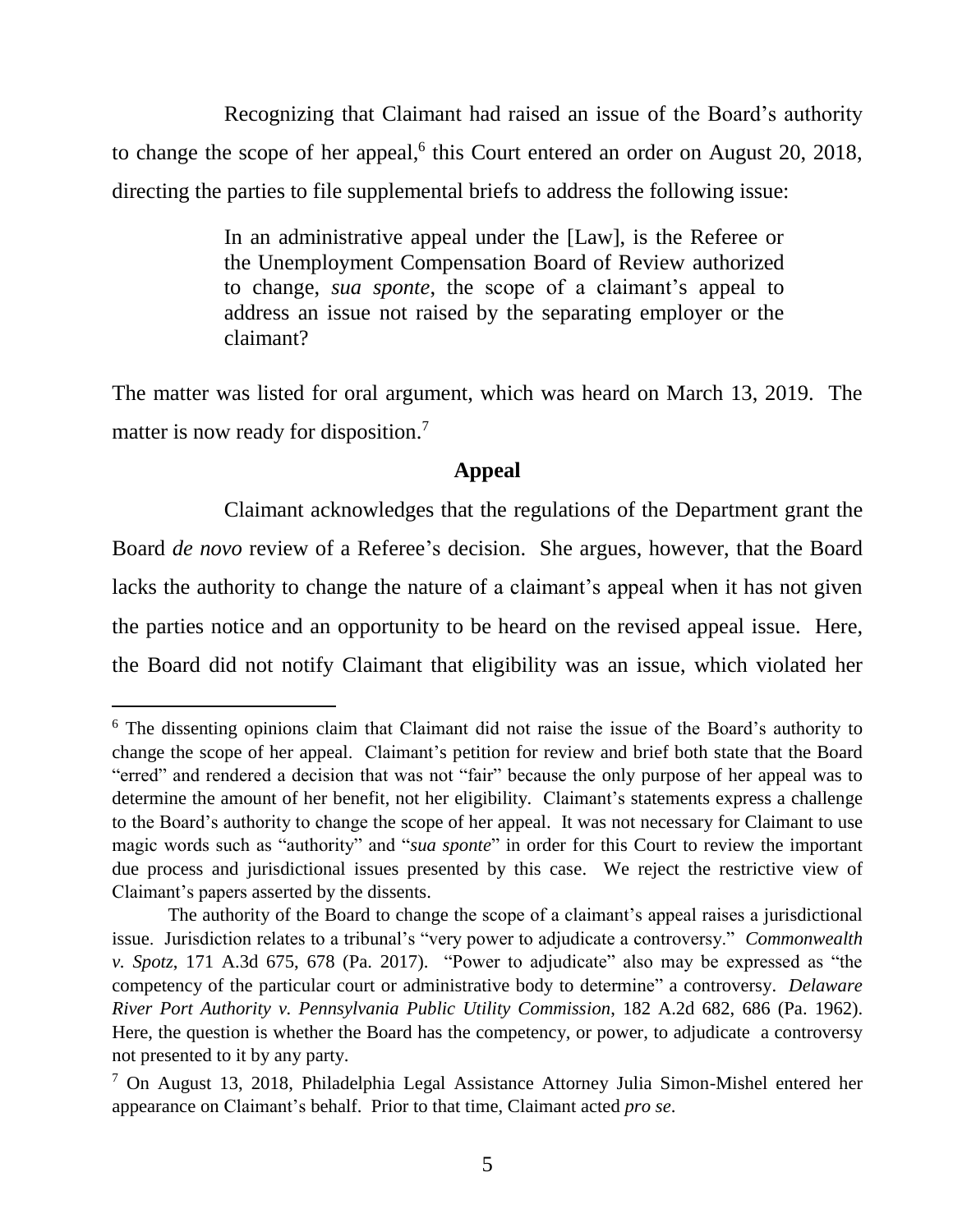Recognizing that Claimant had raised an issue of the Board's authority to change the scope of her appeal, $6$  this Court entered an order on August 20, 2018, directing the parties to file supplemental briefs to address the following issue:

> In an administrative appeal under the [Law], is the Referee or the Unemployment Compensation Board of Review authorized to change, *sua sponte*, the scope of a claimant's appeal to address an issue not raised by the separating employer or the claimant?

The matter was listed for oral argument, which was heard on March 13, 2019. The matter is now ready for disposition.<sup>7</sup>

# **Appeal**

Claimant acknowledges that the regulations of the Department grant the Board *de novo* review of a Referee's decision. She argues, however, that the Board lacks the authority to change the nature of a claimant's appeal when it has not given the parties notice and an opportunity to be heard on the revised appeal issue. Here, the Board did not notify Claimant that eligibility was an issue, which violated her

<sup>&</sup>lt;sup>6</sup> The dissenting opinions claim that Claimant did not raise the issue of the Board's authority to change the scope of her appeal. Claimant's petition for review and brief both state that the Board "erred" and rendered a decision that was not "fair" because the only purpose of her appeal was to determine the amount of her benefit, not her eligibility. Claimant's statements express a challenge to the Board's authority to change the scope of her appeal. It was not necessary for Claimant to use magic words such as "authority" and "*sua sponte*" in order for this Court to review the important due process and jurisdictional issues presented by this case. We reject the restrictive view of Claimant's papers asserted by the dissents.

The authority of the Board to change the scope of a claimant's appeal raises a jurisdictional issue. Jurisdiction relates to a tribunal's "very power to adjudicate a controversy." *Commonwealth v. Spotz*, 171 A.3d 675, 678 (Pa. 2017). "Power to adjudicate" also may be expressed as "the competency of the particular court or administrative body to determine" a controversy. *Delaware River Port Authority v. Pennsylvania Public Utility Commission*, 182 A.2d 682, 686 (Pa. 1962). Here, the question is whether the Board has the competency, or power, to adjudicate a controversy not presented to it by any party.

<sup>7</sup> On August 13, 2018, Philadelphia Legal Assistance Attorney Julia Simon-Mishel entered her appearance on Claimant's behalf. Prior to that time, Claimant acted *pro se*.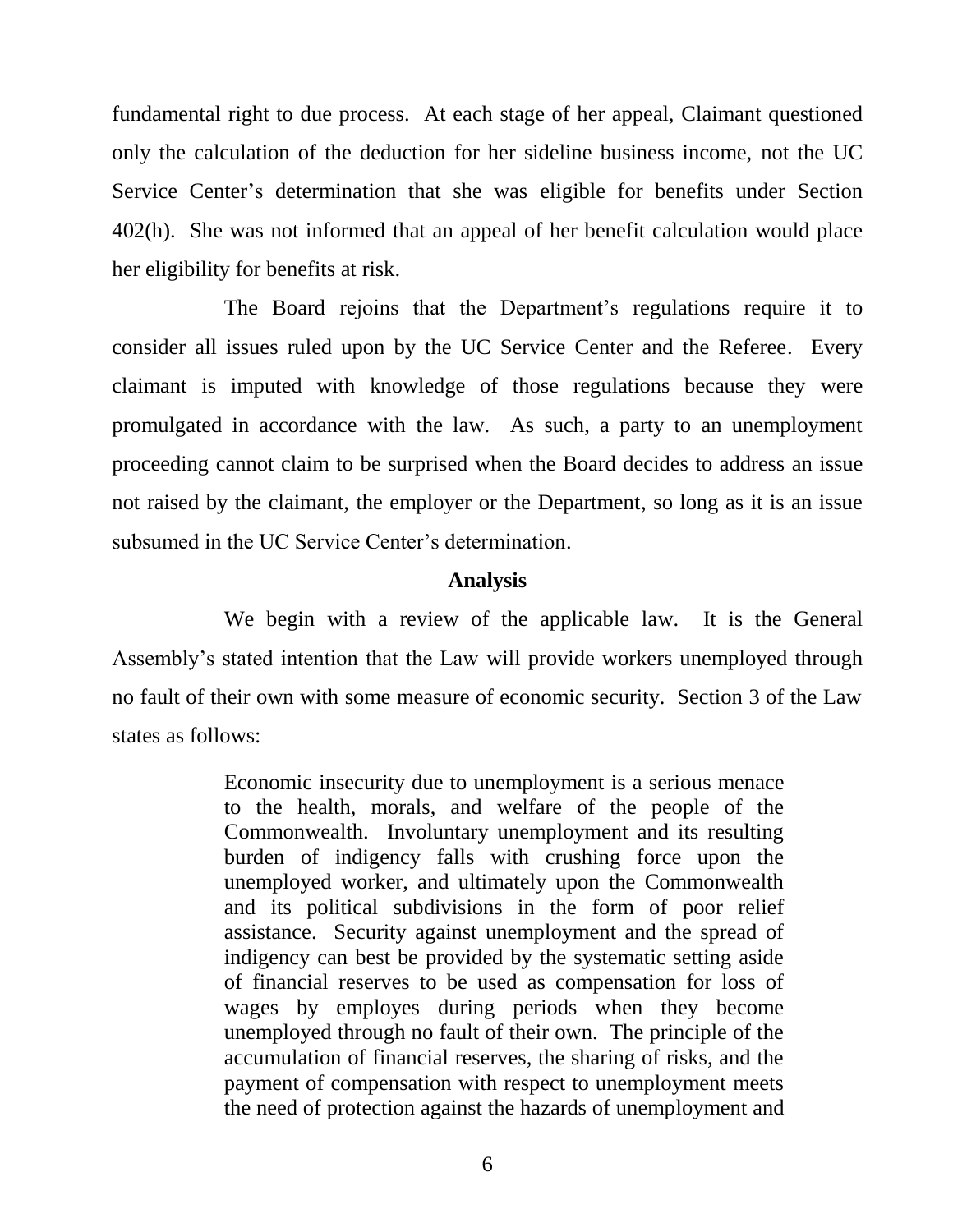fundamental right to due process. At each stage of her appeal, Claimant questioned only the calculation of the deduction for her sideline business income, not the UC Service Center's determination that she was eligible for benefits under Section 402(h). She was not informed that an appeal of her benefit calculation would place her eligibility for benefits at risk.

The Board rejoins that the Department's regulations require it to consider all issues ruled upon by the UC Service Center and the Referee. Every claimant is imputed with knowledge of those regulations because they were promulgated in accordance with the law. As such, a party to an unemployment proceeding cannot claim to be surprised when the Board decides to address an issue not raised by the claimant, the employer or the Department, so long as it is an issue subsumed in the UC Service Center's determination.

#### **Analysis**

We begin with a review of the applicable law. It is the General Assembly's stated intention that the Law will provide workers unemployed through no fault of their own with some measure of economic security. Section 3 of the Law states as follows:

> Economic insecurity due to unemployment is a serious menace to the health, morals, and welfare of the people of the Commonwealth. Involuntary unemployment and its resulting burden of indigency falls with crushing force upon the unemployed worker, and ultimately upon the Commonwealth and its political subdivisions in the form of poor relief assistance. Security against unemployment and the spread of indigency can best be provided by the systematic setting aside of financial reserves to be used as compensation for loss of wages by employes during periods when they become unemployed through no fault of their own. The principle of the accumulation of financial reserves, the sharing of risks, and the payment of compensation with respect to unemployment meets the need of protection against the hazards of unemployment and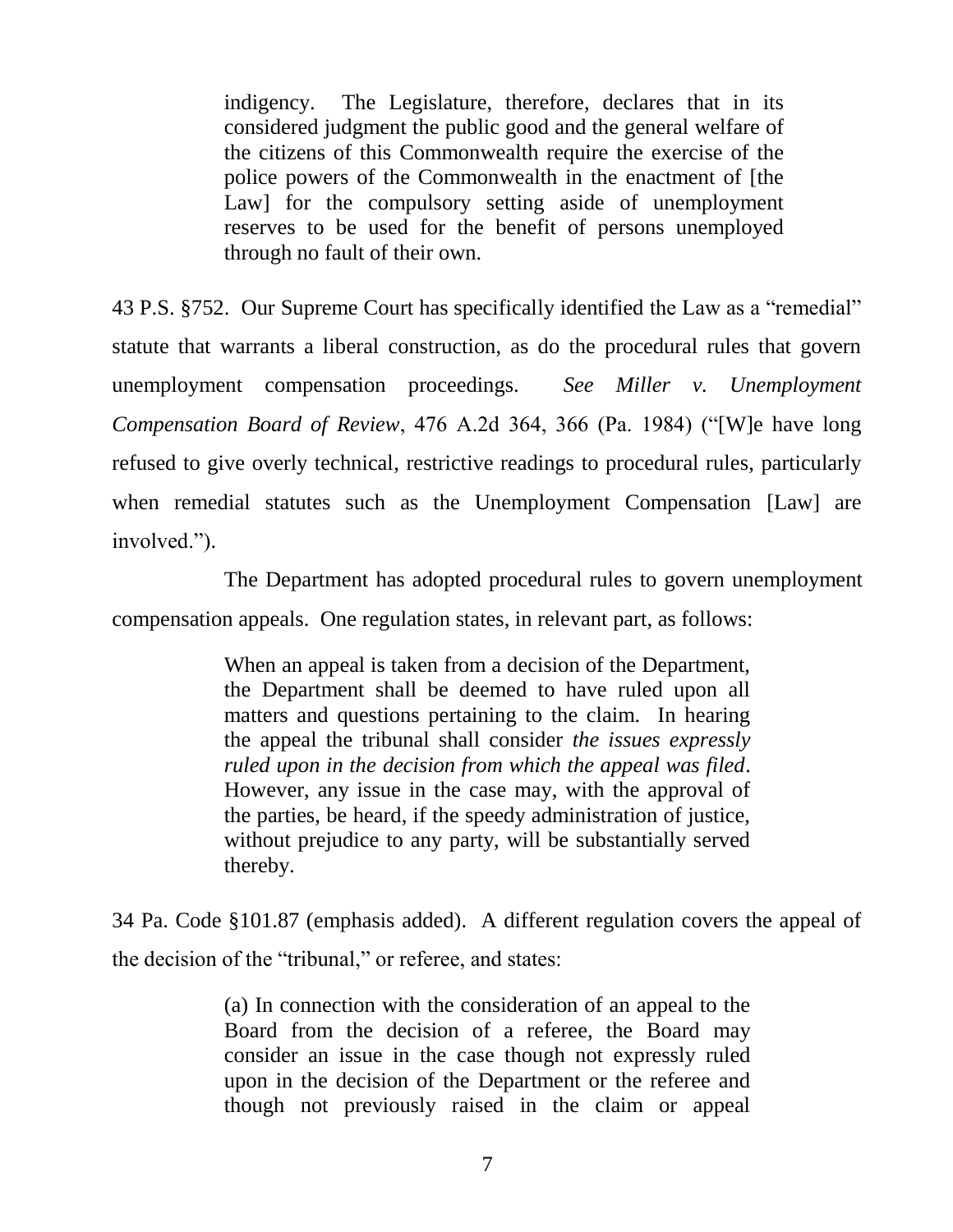indigency. The Legislature, therefore, declares that in its considered judgment the public good and the general welfare of the citizens of this Commonwealth require the exercise of the police powers of the Commonwealth in the enactment of [the Law] for the compulsory setting aside of unemployment reserves to be used for the benefit of persons unemployed through no fault of their own.

43 P.S. §752. Our Supreme Court has specifically identified the Law as a "remedial" statute that warrants a liberal construction, as do the procedural rules that govern unemployment compensation proceedings. *See Miller v. Unemployment Compensation Board of Review*, 476 A.2d 364, 366 (Pa. 1984) ("[W]e have long refused to give overly technical, restrictive readings to procedural rules, particularly when remedial statutes such as the Unemployment Compensation [Law] are involved.").

The Department has adopted procedural rules to govern unemployment compensation appeals. One regulation states, in relevant part, as follows:

> When an appeal is taken from a decision of the Department, the Department shall be deemed to have ruled upon all matters and questions pertaining to the claim. In hearing the appeal the tribunal shall consider *the issues expressly ruled upon in the decision from which the appeal was filed*. However, any issue in the case may, with the approval of the parties, be heard, if the speedy administration of justice, without prejudice to any party, will be substantially served thereby.

34 Pa. Code §101.87 (emphasis added). A different regulation covers the appeal of the decision of the "tribunal," or referee, and states:

> (a) In connection with the consideration of an appeal to the Board from the decision of a referee, the Board may consider an issue in the case though not expressly ruled upon in the decision of the Department or the referee and though not previously raised in the claim or appeal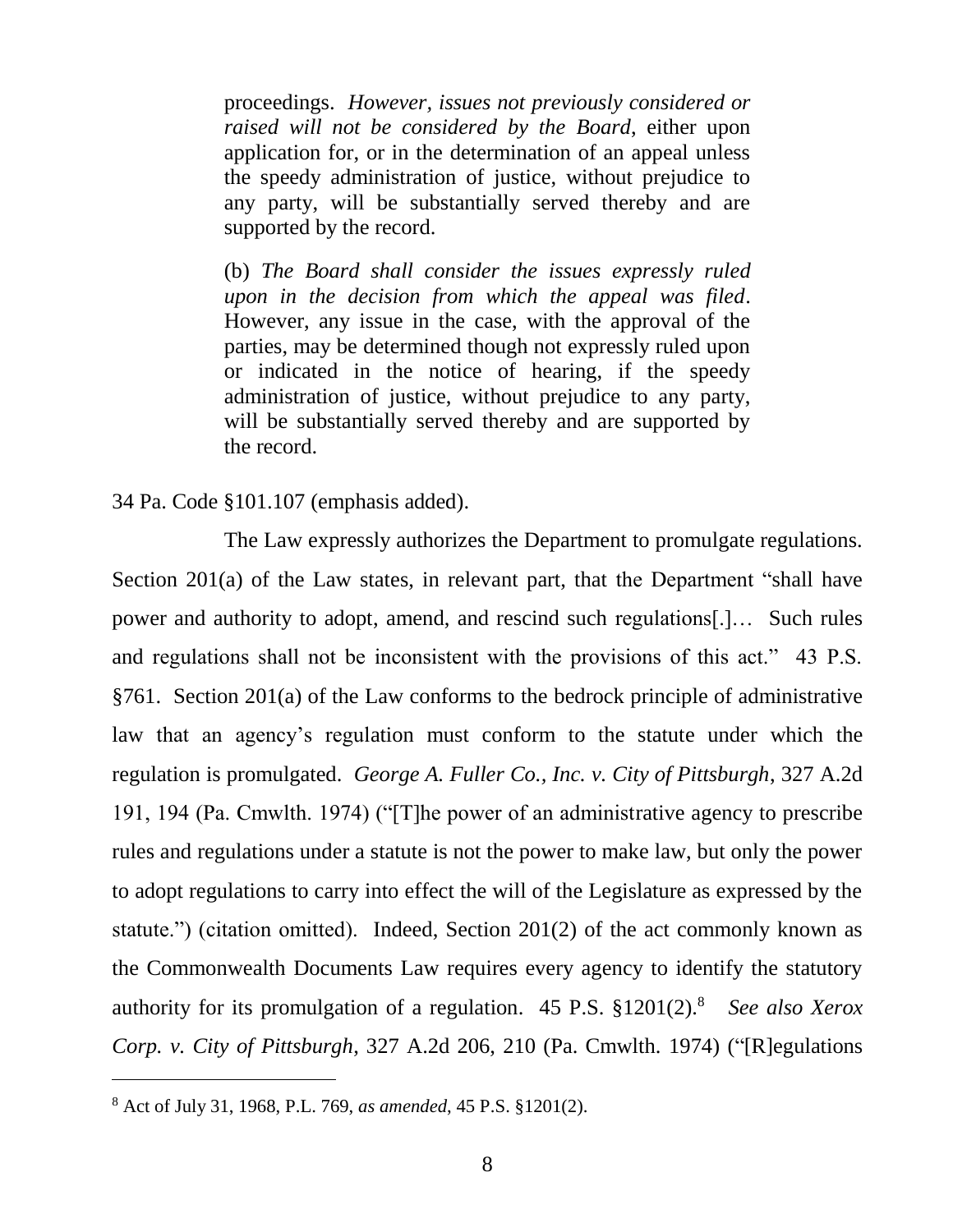proceedings. *However, issues not previously considered or raised will not be considered by the Board*, either upon application for, or in the determination of an appeal unless the speedy administration of justice, without prejudice to any party, will be substantially served thereby and are supported by the record.

(b) *The Board shall consider the issues expressly ruled upon in the decision from which the appeal was filed*. However, any issue in the case, with the approval of the parties, may be determined though not expressly ruled upon or indicated in the notice of hearing, if the speedy administration of justice, without prejudice to any party, will be substantially served thereby and are supported by the record.

#### 34 Pa. Code §101.107 (emphasis added).

The Law expressly authorizes the Department to promulgate regulations. Section 201(a) of the Law states, in relevant part, that the Department "shall have power and authority to adopt, amend, and rescind such regulations[.]… Such rules and regulations shall not be inconsistent with the provisions of this act." 43 P.S. §761. Section 201(a) of the Law conforms to the bedrock principle of administrative law that an agency's regulation must conform to the statute under which the regulation is promulgated. *George A. Fuller Co., Inc. v. City of Pittsburgh*, 327 A.2d 191, 194 (Pa. Cmwlth. 1974) ("[T]he power of an administrative agency to prescribe rules and regulations under a statute is not the power to make law, but only the power to adopt regulations to carry into effect the will of the Legislature as expressed by the statute.") (citation omitted). Indeed, Section 201(2) of the act commonly known as the Commonwealth Documents Law requires every agency to identify the statutory authority for its promulgation of a regulation. 45 P.S. §1201(2).<sup>8</sup> *See also Xerox Corp. v. City of Pittsburgh*, 327 A.2d 206, 210 (Pa. Cmwlth. 1974) ("[R]egulations

<sup>8</sup> Act of July 31, 1968, P.L. 769, *as amended*, 45 P.S. §1201(2).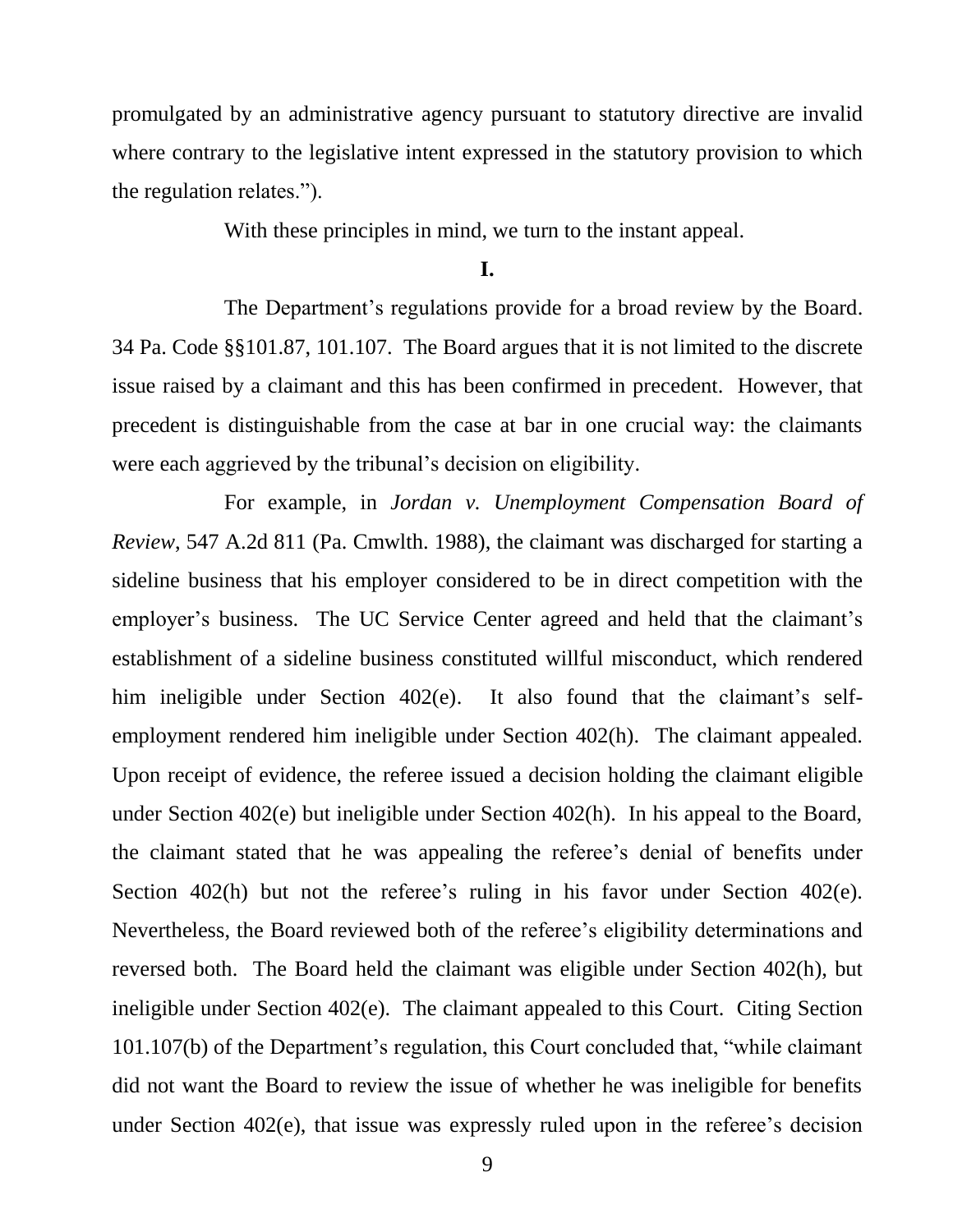promulgated by an administrative agency pursuant to statutory directive are invalid where contrary to the legislative intent expressed in the statutory provision to which the regulation relates.").

With these principles in mind, we turn to the instant appeal.

**I.**

The Department's regulations provide for a broad review by the Board. 34 Pa. Code §§101.87, 101.107. The Board argues that it is not limited to the discrete issue raised by a claimant and this has been confirmed in precedent. However, that precedent is distinguishable from the case at bar in one crucial way: the claimants were each aggrieved by the tribunal's decision on eligibility.

For example, in *Jordan v. Unemployment Compensation Board of Review*, 547 A.2d 811 (Pa. Cmwlth. 1988), the claimant was discharged for starting a sideline business that his employer considered to be in direct competition with the employer's business. The UC Service Center agreed and held that the claimant's establishment of a sideline business constituted willful misconduct, which rendered him ineligible under Section 402(e). It also found that the claimant's selfemployment rendered him ineligible under Section 402(h). The claimant appealed. Upon receipt of evidence, the referee issued a decision holding the claimant eligible under Section 402(e) but ineligible under Section 402(h). In his appeal to the Board, the claimant stated that he was appealing the referee's denial of benefits under Section 402(h) but not the referee's ruling in his favor under Section 402(e). Nevertheless, the Board reviewed both of the referee's eligibility determinations and reversed both. The Board held the claimant was eligible under Section 402(h), but ineligible under Section 402(e). The claimant appealed to this Court. Citing Section 101.107(b) of the Department's regulation, this Court concluded that, "while claimant did not want the Board to review the issue of whether he was ineligible for benefits under Section 402(e), that issue was expressly ruled upon in the referee's decision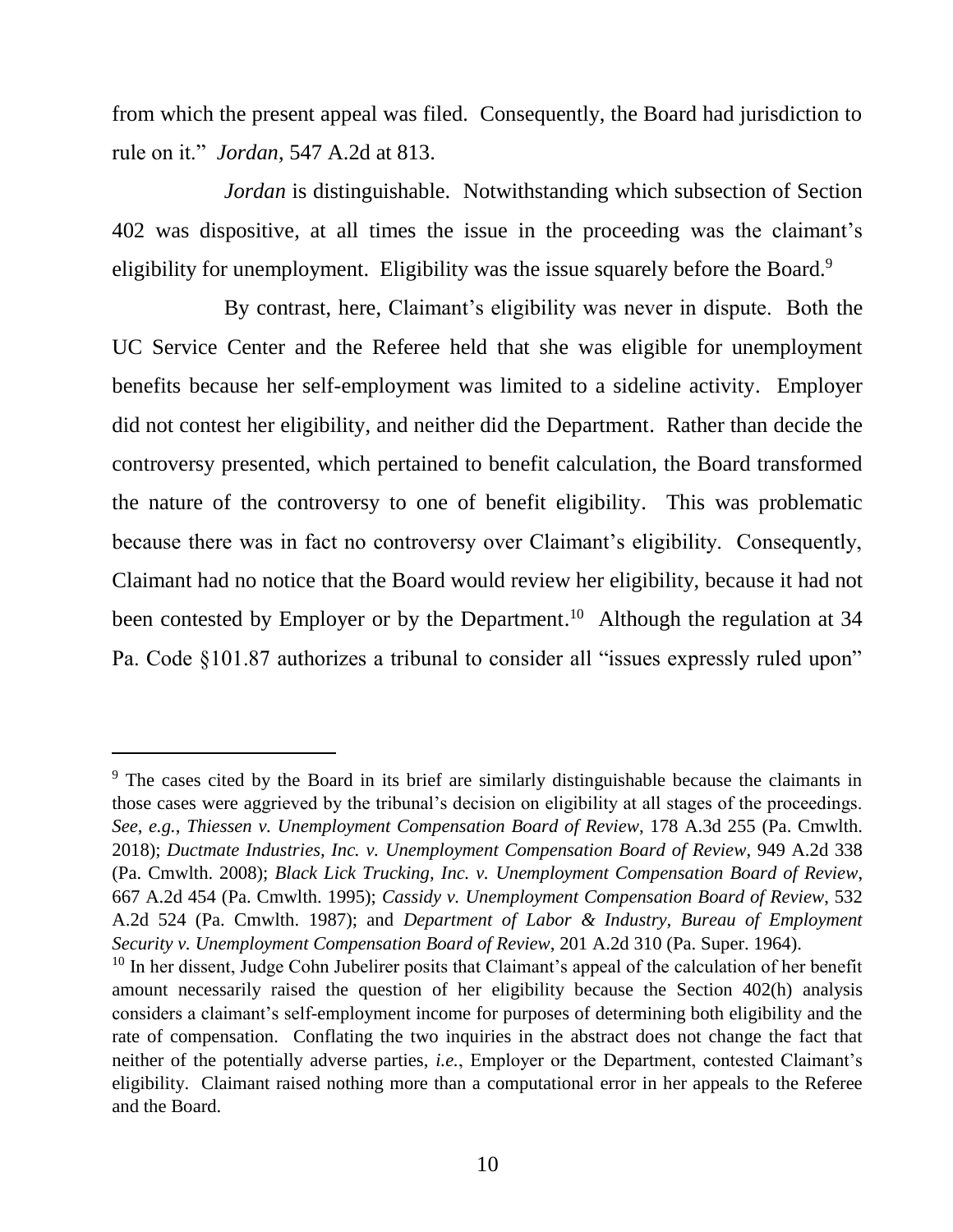from which the present appeal was filed. Consequently, the Board had jurisdiction to rule on it." *Jordan*, 547 A.2d at 813.

*Jordan* is distinguishable. Notwithstanding which subsection of Section 402 was dispositive, at all times the issue in the proceeding was the claimant's eligibility for unemployment. Eligibility was the issue squarely before the Board.<sup>9</sup>

By contrast, here, Claimant's eligibility was never in dispute. Both the UC Service Center and the Referee held that she was eligible for unemployment benefits because her self-employment was limited to a sideline activity. Employer did not contest her eligibility, and neither did the Department. Rather than decide the controversy presented, which pertained to benefit calculation, the Board transformed the nature of the controversy to one of benefit eligibility. This was problematic because there was in fact no controversy over Claimant's eligibility. Consequently, Claimant had no notice that the Board would review her eligibility, because it had not been contested by Employer or by the Department.<sup>10</sup> Although the regulation at 34 Pa. Code §101.87 authorizes a tribunal to consider all "issues expressly ruled upon"

<sup>&</sup>lt;sup>9</sup> The cases cited by the Board in its brief are similarly distinguishable because the claimants in those cases were aggrieved by the tribunal's decision on eligibility at all stages of the proceedings. *See*, *e.g.*, *Thiessen v. Unemployment Compensation Board of Review*, 178 A.3d 255 (Pa. Cmwlth. 2018); *Ductmate Industries, Inc. v. Unemployment Compensation Board of Review*, 949 A.2d 338 (Pa. Cmwlth. 2008); *Black Lick Trucking, Inc. v. Unemployment Compensation Board of Review*, 667 A.2d 454 (Pa. Cmwlth. 1995); *Cassidy v. Unemployment Compensation Board of Review*, 532 A.2d 524 (Pa. Cmwlth. 1987); and *Department of Labor & Industry, Bureau of Employment Security v. Unemployment Compensation Board of Review*, 201 A.2d 310 (Pa. Super. 1964).

 $10$  In her dissent, Judge Cohn Jubelirer posits that Claimant's appeal of the calculation of her benefit amount necessarily raised the question of her eligibility because the Section 402(h) analysis considers a claimant's self-employment income for purposes of determining both eligibility and the rate of compensation. Conflating the two inquiries in the abstract does not change the fact that neither of the potentially adverse parties, *i.e.*, Employer or the Department, contested Claimant's eligibility. Claimant raised nothing more than a computational error in her appeals to the Referee and the Board.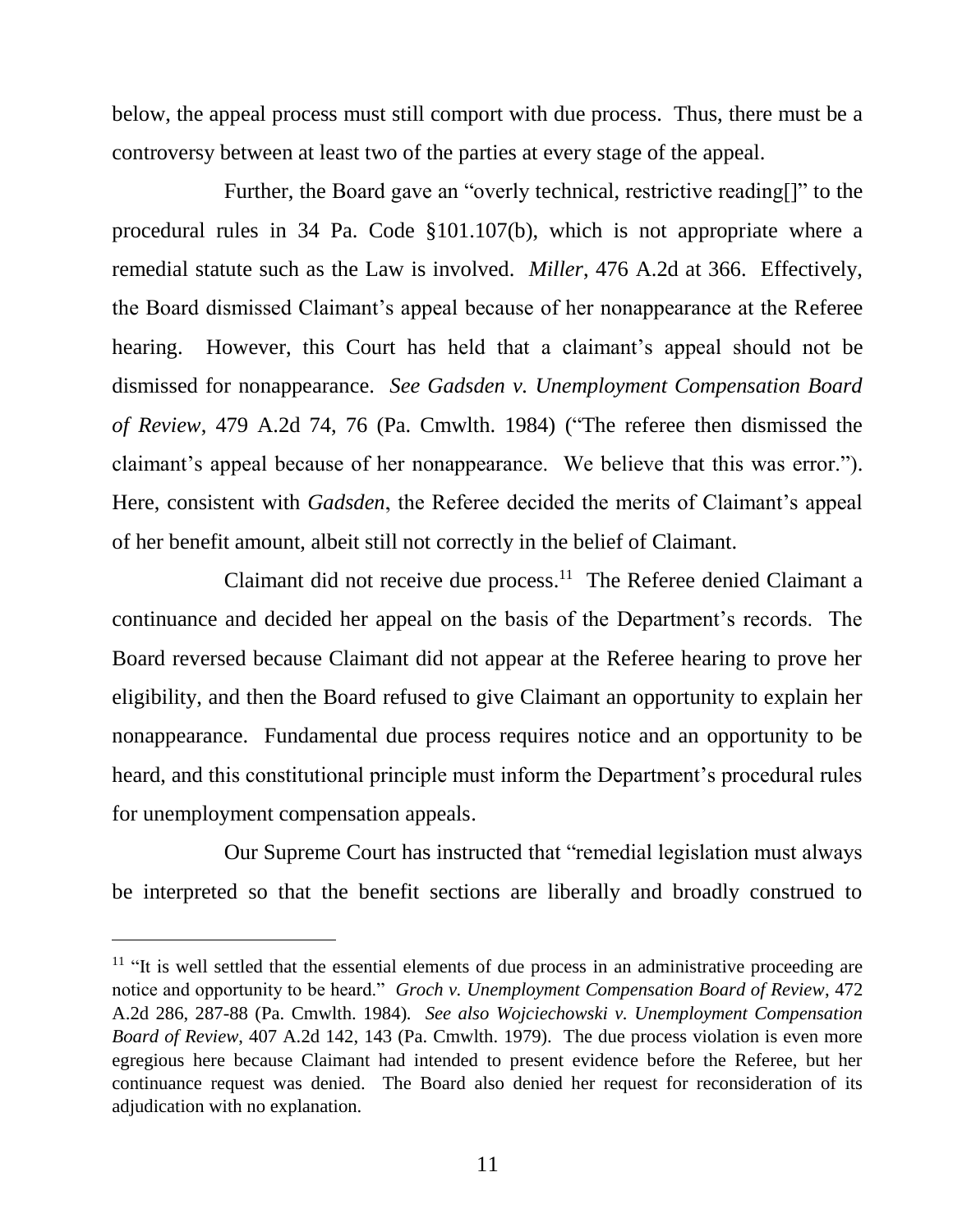below, the appeal process must still comport with due process. Thus, there must be a controversy between at least two of the parties at every stage of the appeal.

Further, the Board gave an "overly technical, restrictive reading[]" to the procedural rules in 34 Pa. Code §101.107(b), which is not appropriate where a remedial statute such as the Law is involved. *Miller*, 476 A.2d at 366. Effectively, the Board dismissed Claimant's appeal because of her nonappearance at the Referee hearing. However, this Court has held that a claimant's appeal should not be dismissed for nonappearance. *See Gadsden v. Unemployment Compensation Board of Review*, 479 A.2d 74, 76 (Pa. Cmwlth. 1984) ("The referee then dismissed the claimant's appeal because of her nonappearance. We believe that this was error."). Here, consistent with *Gadsden*, the Referee decided the merits of Claimant's appeal of her benefit amount, albeit still not correctly in the belief of Claimant.

Claimant did not receive due process.<sup>11</sup> The Referee denied Claimant a continuance and decided her appeal on the basis of the Department's records. The Board reversed because Claimant did not appear at the Referee hearing to prove her eligibility, and then the Board refused to give Claimant an opportunity to explain her nonappearance. Fundamental due process requires notice and an opportunity to be heard, and this constitutional principle must inform the Department's procedural rules for unemployment compensation appeals.

Our Supreme Court has instructed that "remedial legislation must always be interpreted so that the benefit sections are liberally and broadly construed to

 $11$  "It is well settled that the essential elements of due process in an administrative proceeding are notice and opportunity to be heard." *Groch v. Unemployment Compensation Board of Review*, 472 A.2d 286, 287-88 (Pa. Cmwlth. 1984)*. See also Wojciechowski v. Unemployment Compensation Board of Review*, 407 A.2d 142, 143 (Pa. Cmwlth. 1979). The due process violation is even more egregious here because Claimant had intended to present evidence before the Referee, but her continuance request was denied. The Board also denied her request for reconsideration of its adjudication with no explanation.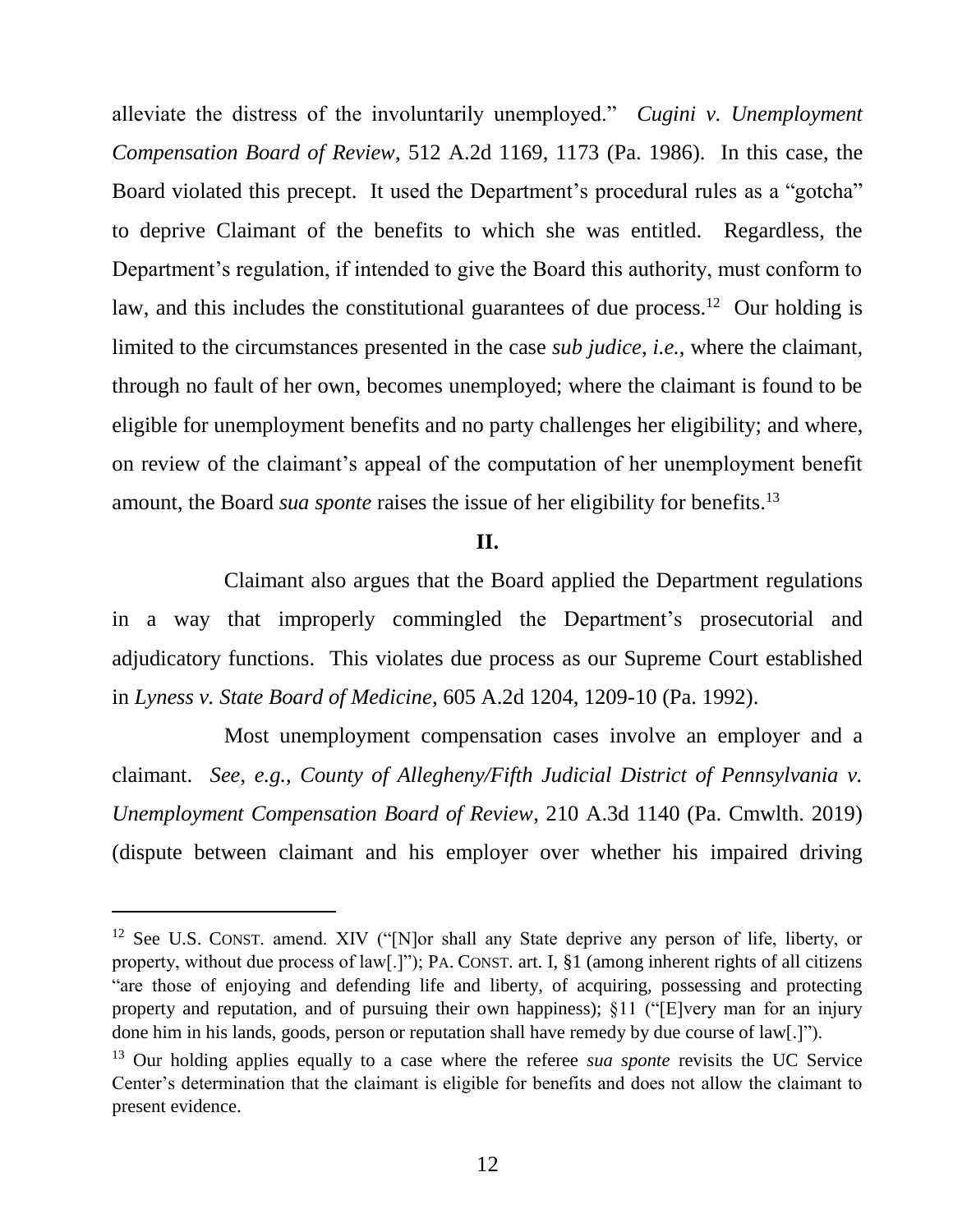alleviate the distress of the involuntarily unemployed." *Cugini v. Unemployment Compensation Board of Review*, 512 A.2d 1169, 1173 (Pa. 1986). In this case, the Board violated this precept. It used the Department's procedural rules as a "gotcha" to deprive Claimant of the benefits to which she was entitled. Regardless, the Department's regulation, if intended to give the Board this authority, must conform to law, and this includes the constitutional guarantees of due process.<sup>12</sup> Our holding is limited to the circumstances presented in the case *sub judice*, *i.e.*, where the claimant, through no fault of her own, becomes unemployed; where the claimant is found to be eligible for unemployment benefits and no party challenges her eligibility; and where, on review of the claimant's appeal of the computation of her unemployment benefit amount, the Board *sua sponte* raises the issue of her eligibility for benefits.<sup>13</sup>

#### **II.**

Claimant also argues that the Board applied the Department regulations in a way that improperly commingled the Department's prosecutorial and adjudicatory functions. This violates due process as our Supreme Court established in *Lyness v. State Board of Medicine*, 605 A.2d 1204, 1209-10 (Pa. 1992).

Most unemployment compensation cases involve an employer and a claimant. *See*, *e.g.*, *County of Allegheny/Fifth Judicial District of Pennsylvania v. Unemployment Compensation Board of Review*, 210 A.3d 1140 (Pa. Cmwlth. 2019) (dispute between claimant and his employer over whether his impaired driving

<sup>&</sup>lt;sup>12</sup> See U.S. CONST. amend. XIV ("[N]or shall any State deprive any person of life, liberty, or property, without due process of law[.]"); PA. CONST. art. I, §1 (among inherent rights of all citizens "are those of enjoying and defending life and liberty, of acquiring, possessing and protecting property and reputation, and of pursuing their own happiness); §11 ("[E]very man for an injury done him in his lands, goods, person or reputation shall have remedy by due course of law[.]").

<sup>&</sup>lt;sup>13</sup> Our holding applies equally to a case where the referee *sua sponte* revisits the UC Service Center's determination that the claimant is eligible for benefits and does not allow the claimant to present evidence.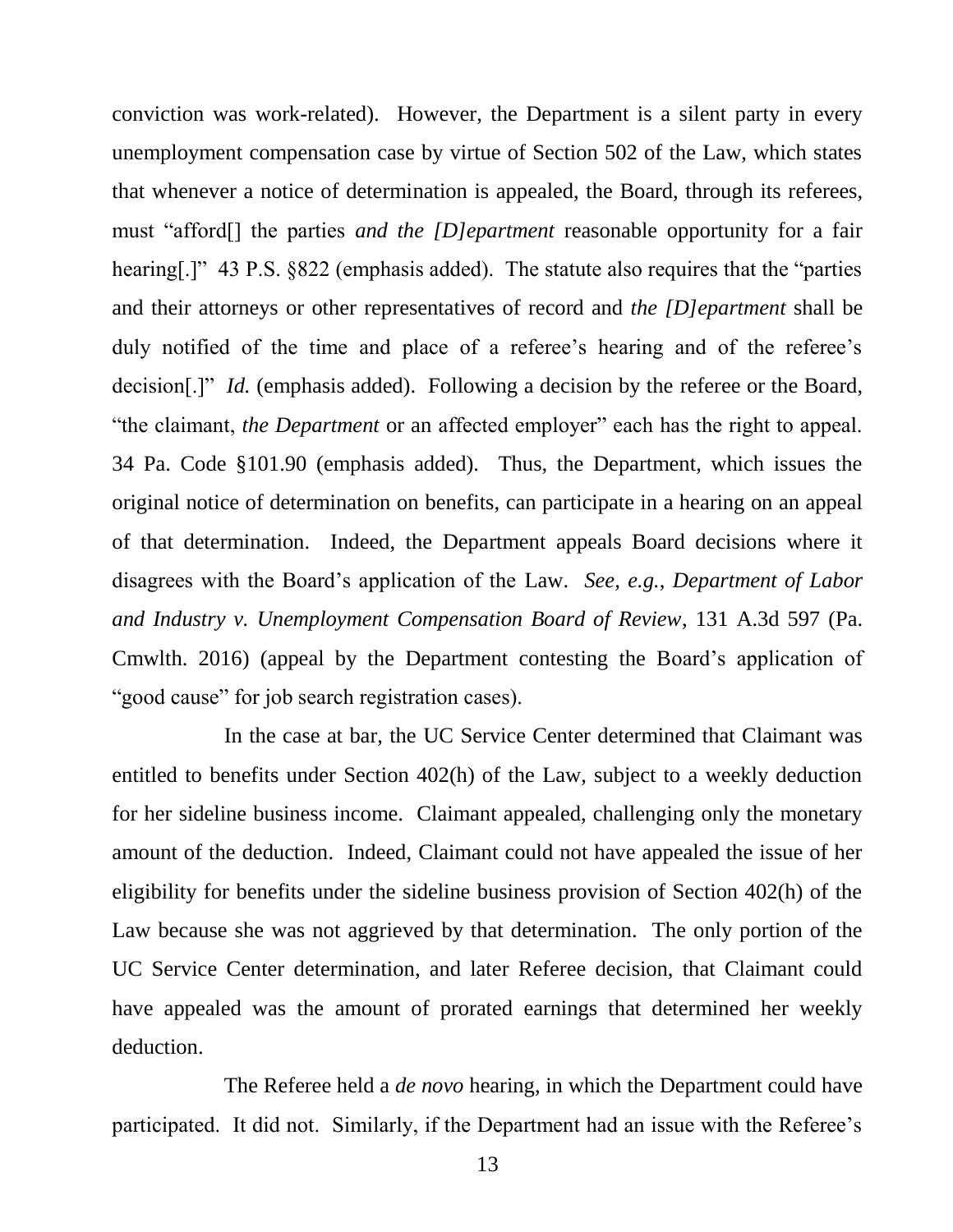conviction was work-related). However, the Department is a silent party in every unemployment compensation case by virtue of Section 502 of the Law, which states that whenever a notice of determination is appealed, the Board, through its referees, must "afford[] the parties *and the [D]epartment* reasonable opportunity for a fair hearing[.]" 43 P.S. §822 (emphasis added). The statute also requires that the "parties and their attorneys or other representatives of record and *the [D]epartment* shall be duly notified of the time and place of a referee's hearing and of the referee's decision<sup>[1]"</sup> *Id.* (emphasis added). Following a decision by the referee or the Board, "the claimant, *the Department* or an affected employer" each has the right to appeal. 34 Pa. Code §101.90 (emphasis added). Thus, the Department, which issues the original notice of determination on benefits, can participate in a hearing on an appeal of that determination. Indeed, the Department appeals Board decisions where it disagrees with the Board's application of the Law. *See, e.g.*, *Department of Labor and Industry v. Unemployment Compensation Board of Review*, 131 A.3d 597 (Pa. Cmwlth. 2016) (appeal by the Department contesting the Board's application of "good cause" for job search registration cases).

In the case at bar, the UC Service Center determined that Claimant was entitled to benefits under Section 402(h) of the Law, subject to a weekly deduction for her sideline business income. Claimant appealed, challenging only the monetary amount of the deduction. Indeed, Claimant could not have appealed the issue of her eligibility for benefits under the sideline business provision of Section 402(h) of the Law because she was not aggrieved by that determination. The only portion of the UC Service Center determination, and later Referee decision, that Claimant could have appealed was the amount of prorated earnings that determined her weekly deduction.

The Referee held a *de novo* hearing, in which the Department could have participated. It did not. Similarly, if the Department had an issue with the Referee's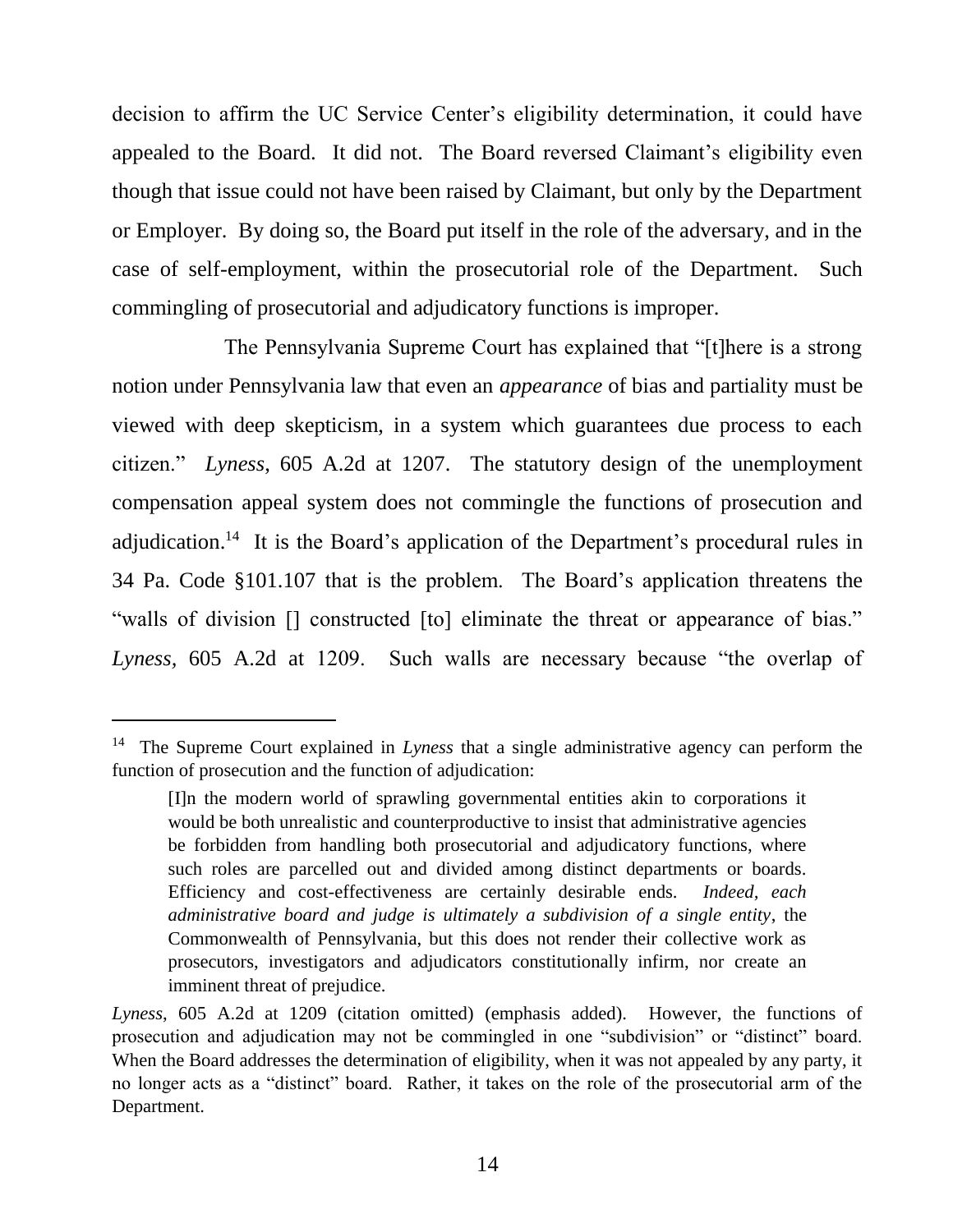decision to affirm the UC Service Center's eligibility determination, it could have appealed to the Board. It did not. The Board reversed Claimant's eligibility even though that issue could not have been raised by Claimant, but only by the Department or Employer. By doing so, the Board put itself in the role of the adversary, and in the case of self-employment, within the prosecutorial role of the Department. Such commingling of prosecutorial and adjudicatory functions is improper.

The Pennsylvania Supreme Court has explained that "[t]here is a strong notion under Pennsylvania law that even an *appearance* of bias and partiality must be viewed with deep skepticism, in a system which guarantees due process to each citizen." *Lyness*, 605 A.2d at 1207. The statutory design of the unemployment compensation appeal system does not commingle the functions of prosecution and adjudication.<sup>14</sup> It is the Board's application of the Department's procedural rules in 34 Pa. Code §101.107 that is the problem. The Board's application threatens the "walls of division [] constructed [to] eliminate the threat or appearance of bias." *Lyness,* 605 A.2d at 1209. Such walls are necessary because "the overlap of

<sup>14</sup> The Supreme Court explained in *Lyness* that a single administrative agency can perform the function of prosecution and the function of adjudication:

<sup>[</sup>I]n the modern world of sprawling governmental entities akin to corporations it would be both unrealistic and counterproductive to insist that administrative agencies be forbidden from handling both prosecutorial and adjudicatory functions, where such roles are parcelled out and divided among distinct departments or boards. Efficiency and cost-effectiveness are certainly desirable ends. *Indeed, each administrative board and judge is ultimately a subdivision of a single entity*, the Commonwealth of Pennsylvania, but this does not render their collective work as prosecutors, investigators and adjudicators constitutionally infirm, nor create an imminent threat of prejudice.

*Lyness*, 605 A.2d at 1209 (citation omitted) (emphasis added). However, the functions of prosecution and adjudication may not be commingled in one "subdivision" or "distinct" board. When the Board addresses the determination of eligibility, when it was not appealed by any party, it no longer acts as a "distinct" board. Rather, it takes on the role of the prosecutorial arm of the Department.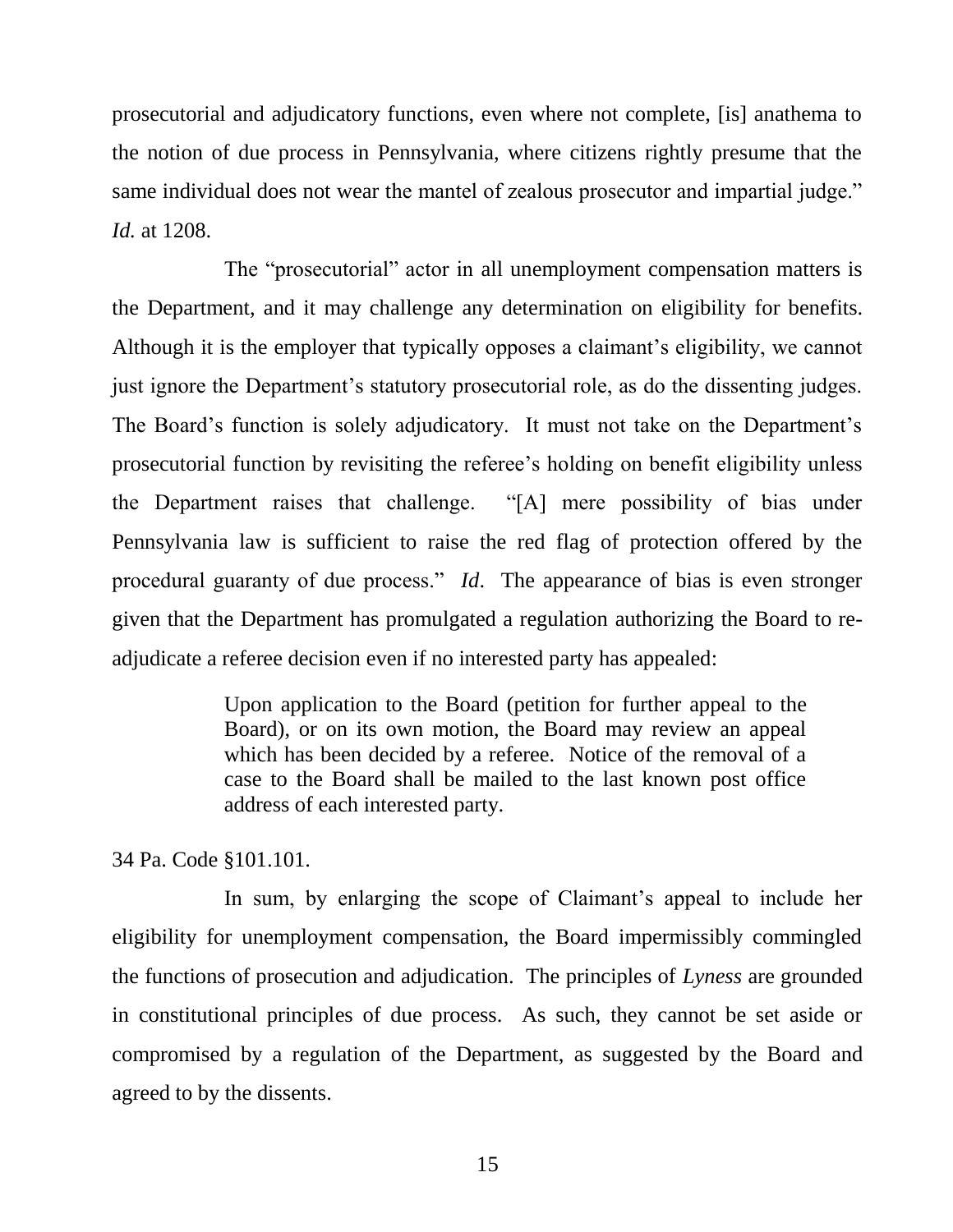prosecutorial and adjudicatory functions, even where not complete, [is] anathema to the notion of due process in Pennsylvania, where citizens rightly presume that the same individual does not wear the mantel of zealous prosecutor and impartial judge." *Id.* at 1208.

The "prosecutorial" actor in all unemployment compensation matters is the Department, and it may challenge any determination on eligibility for benefits. Although it is the employer that typically opposes a claimant's eligibility, we cannot just ignore the Department's statutory prosecutorial role, as do the dissenting judges. The Board's function is solely adjudicatory. It must not take on the Department's prosecutorial function by revisiting the referee's holding on benefit eligibility unless the Department raises that challenge. "[A] mere possibility of bias under Pennsylvania law is sufficient to raise the red flag of protection offered by the procedural guaranty of due process." *Id*. The appearance of bias is even stronger given that the Department has promulgated a regulation authorizing the Board to readjudicate a referee decision even if no interested party has appealed:

> Upon application to the Board (petition for further appeal to the Board), or on its own motion, the Board may review an appeal which has been decided by a referee. Notice of the removal of a case to the Board shall be mailed to the last known post office address of each interested party.

34 Pa. Code §101.101.

In sum, by enlarging the scope of Claimant's appeal to include her eligibility for unemployment compensation, the Board impermissibly commingled the functions of prosecution and adjudication. The principles of *Lyness* are grounded in constitutional principles of due process. As such, they cannot be set aside or compromised by a regulation of the Department, as suggested by the Board and agreed to by the dissents.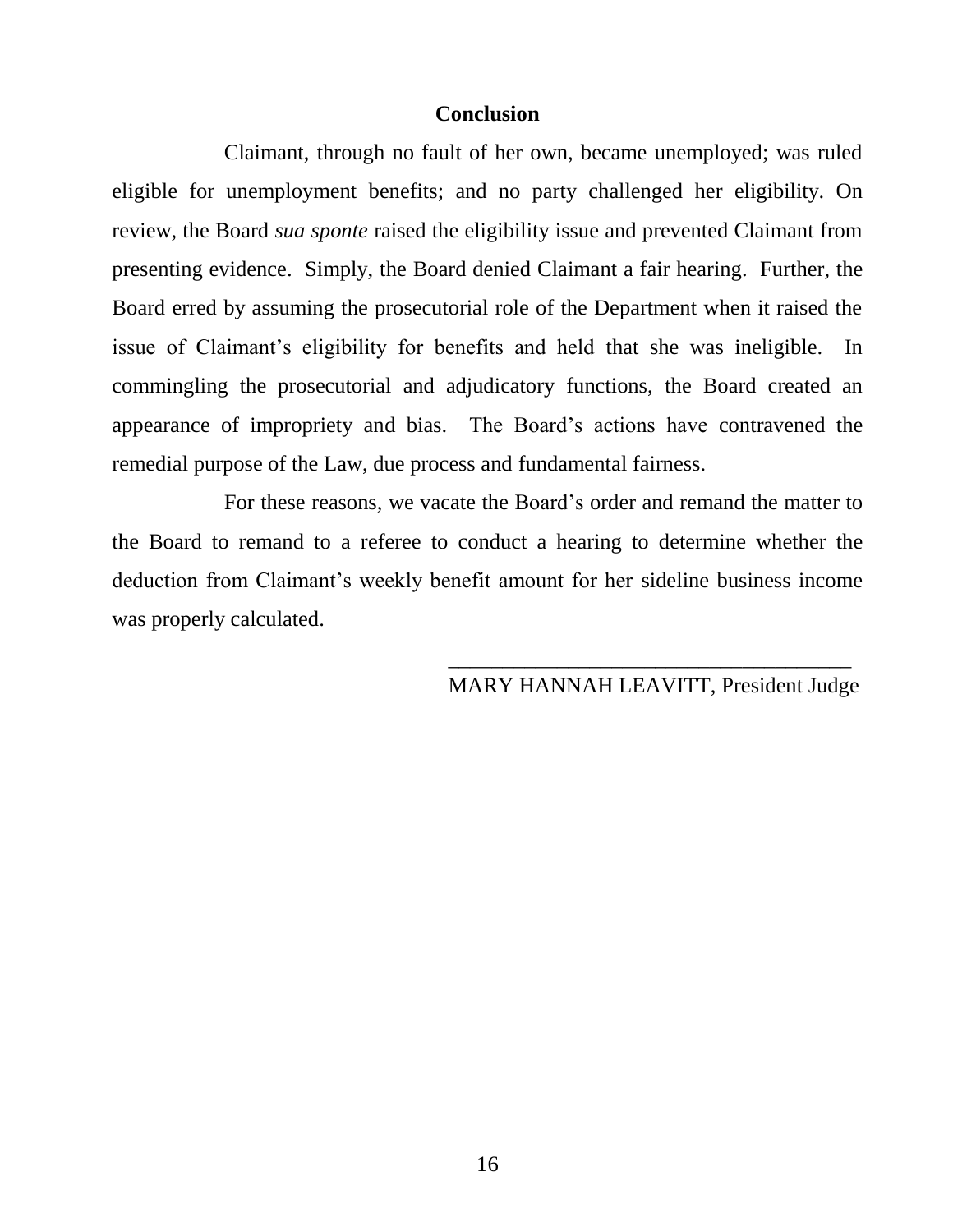# **Conclusion**

Claimant, through no fault of her own, became unemployed; was ruled eligible for unemployment benefits; and no party challenged her eligibility. On review, the Board *sua sponte* raised the eligibility issue and prevented Claimant from presenting evidence. Simply, the Board denied Claimant a fair hearing. Further, the Board erred by assuming the prosecutorial role of the Department when it raised the issue of Claimant's eligibility for benefits and held that she was ineligible. In commingling the prosecutorial and adjudicatory functions, the Board created an appearance of impropriety and bias. The Board's actions have contravened the remedial purpose of the Law, due process and fundamental fairness.

For these reasons, we vacate the Board's order and remand the matter to the Board to remand to a referee to conduct a hearing to determine whether the deduction from Claimant's weekly benefit amount for her sideline business income was properly calculated.

 $\overline{\phantom{a}}$  , which is a set of the set of the set of the set of the set of the set of the set of the set of the set of the set of the set of the set of the set of the set of the set of the set of the set of the set of th

# MARY HANNAH LEAVITT, President Judge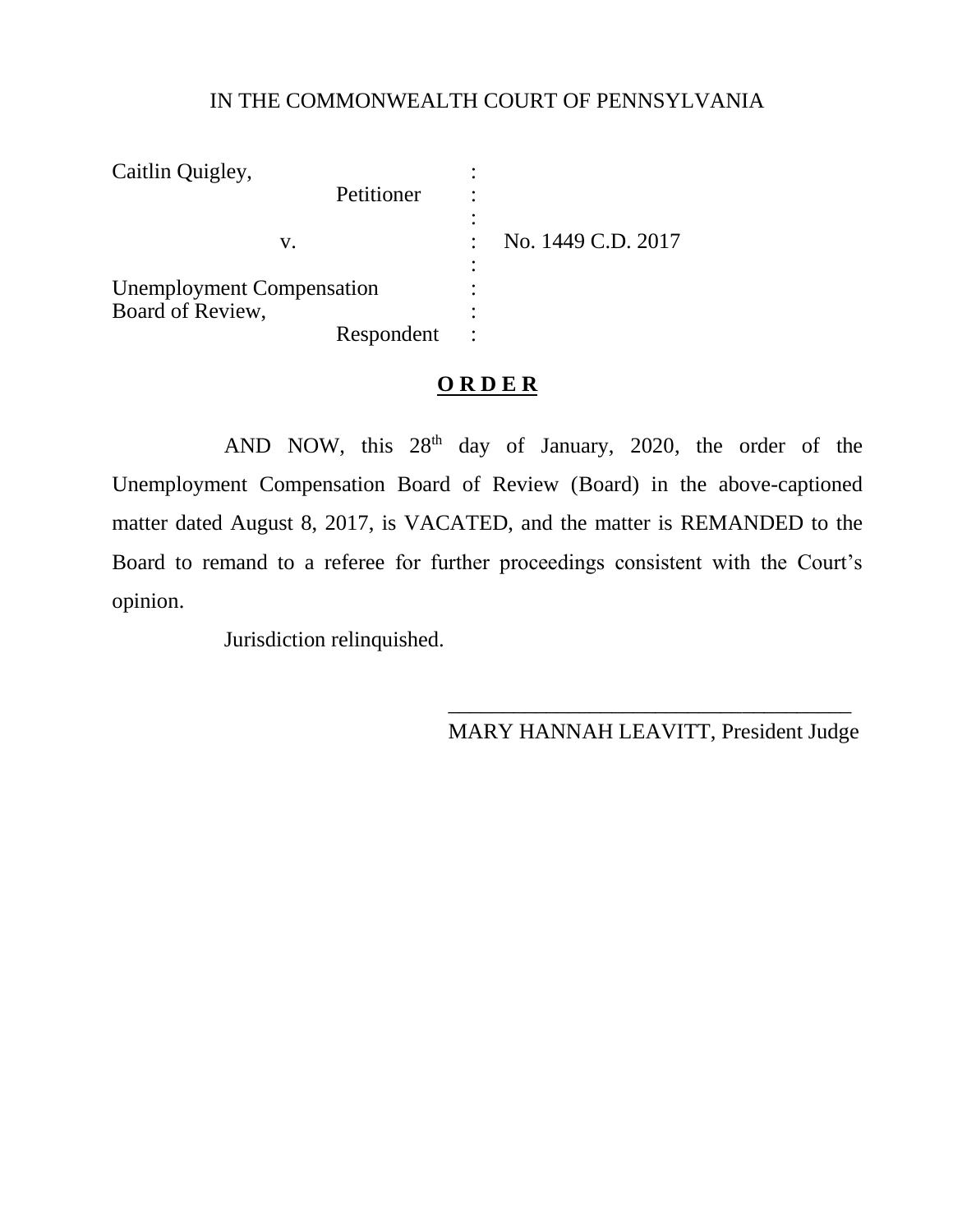# IN THE COMMONWEALTH COURT OF PENNSYLVANIA

| Caitlin Quigley,                 |            |                    |
|----------------------------------|------------|--------------------|
|                                  | Petitioner |                    |
| V.                               |            | No. 1449 C.D. 2017 |
|                                  |            |                    |
| <b>Unemployment Compensation</b> |            |                    |
| Board of Review,                 |            |                    |
|                                  | Respondent |                    |

# **O R D E R**

AND NOW, this  $28<sup>th</sup>$  day of January, 2020, the order of the Unemployment Compensation Board of Review (Board) in the above-captioned matter dated August 8, 2017, is VACATED, and the matter is REMANDED to the Board to remand to a referee for further proceedings consistent with the Court's opinion.

Jurisdiction relinquished.

\_\_\_\_\_\_\_\_\_\_\_\_\_\_\_\_\_\_\_\_\_\_\_\_\_\_\_\_\_\_\_\_\_\_\_\_\_ MARY HANNAH LEAVITT, President Judge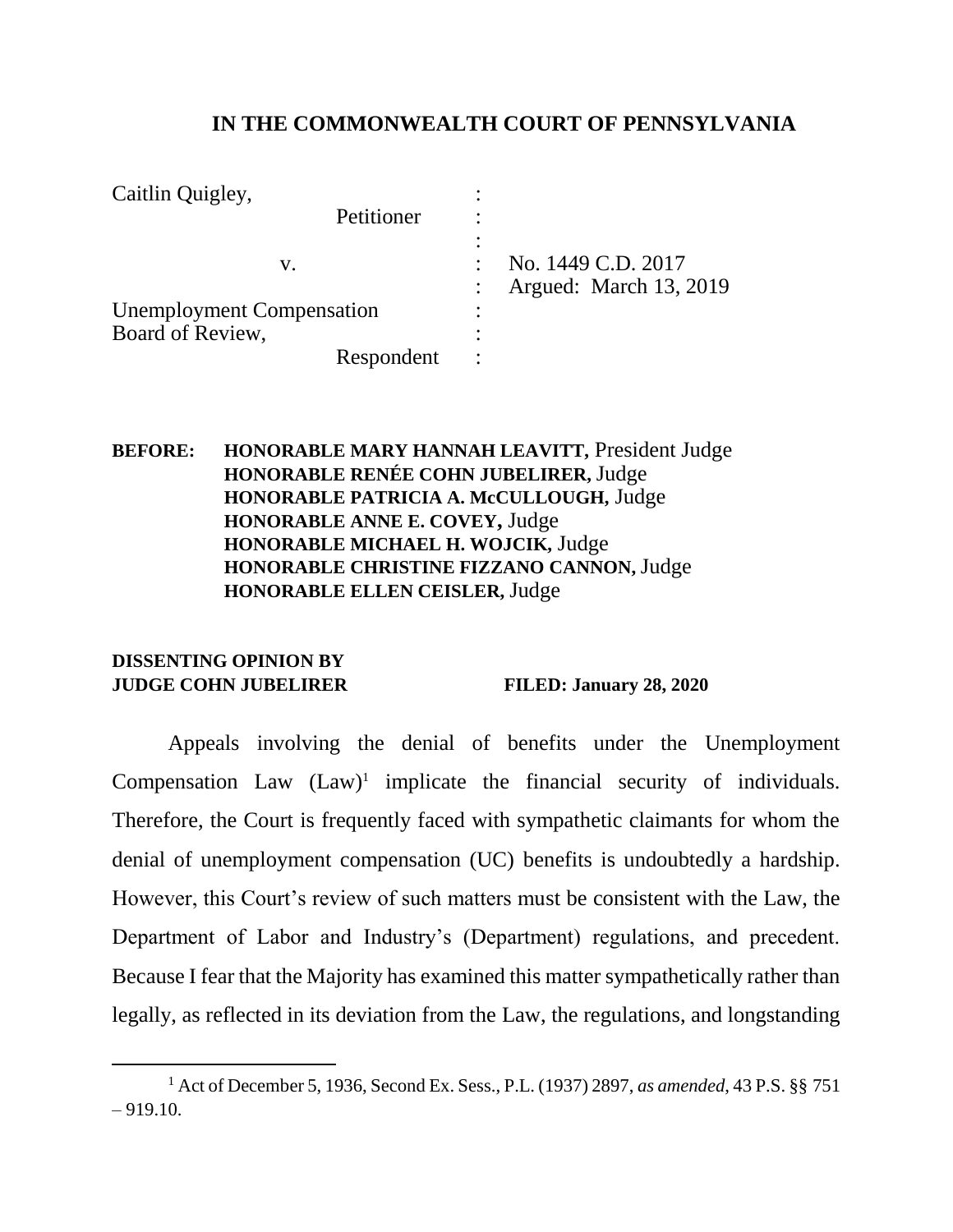# **IN THE COMMONWEALTH COURT OF PENNSYLVANIA**

| Caitlin Quigley,                 |            |                        |
|----------------------------------|------------|------------------------|
|                                  | Petitioner |                        |
|                                  |            |                        |
| V.                               |            | No. 1449 C.D. 2017     |
|                                  |            | Argued: March 13, 2019 |
| <b>Unemployment Compensation</b> |            |                        |
| Board of Review,                 |            |                        |
|                                  | Respondent |                        |

**BEFORE: HONORABLE MARY HANNAH LEAVITT,** President Judge **HONORABLE RENÉE COHN JUBELIRER,** Judge **HONORABLE PATRICIA A. McCULLOUGH,** Judge **HONORABLE ANNE E. COVEY,** Judge **HONORABLE MICHAEL H. WOJCIK,** Judge **HONORABLE CHRISTINE FIZZANO CANNON,** Judge **HONORABLE ELLEN CEISLER,** Judge

#### **DISSENTING OPINION BY JUDGE COHN JUBELIRER FILED: January 28, 2020**

 $\overline{a}$ 

Appeals involving the denial of benefits under the Unemployment Compensation Law  $(Law)^1$  implicate the financial security of individuals. Therefore, the Court is frequently faced with sympathetic claimants for whom the denial of unemployment compensation (UC) benefits is undoubtedly a hardship. However, this Court's review of such matters must be consistent with the Law, the Department of Labor and Industry's (Department) regulations, and precedent. Because I fear that the Majority has examined this matter sympathetically rather than legally, as reflected in its deviation from the Law, the regulations, and longstanding

<sup>1</sup> Act of December 5, 1936, Second Ex. Sess., P.L. (1937) 2897, *as amended*, 43 P.S. §§ 751  $-919.10.$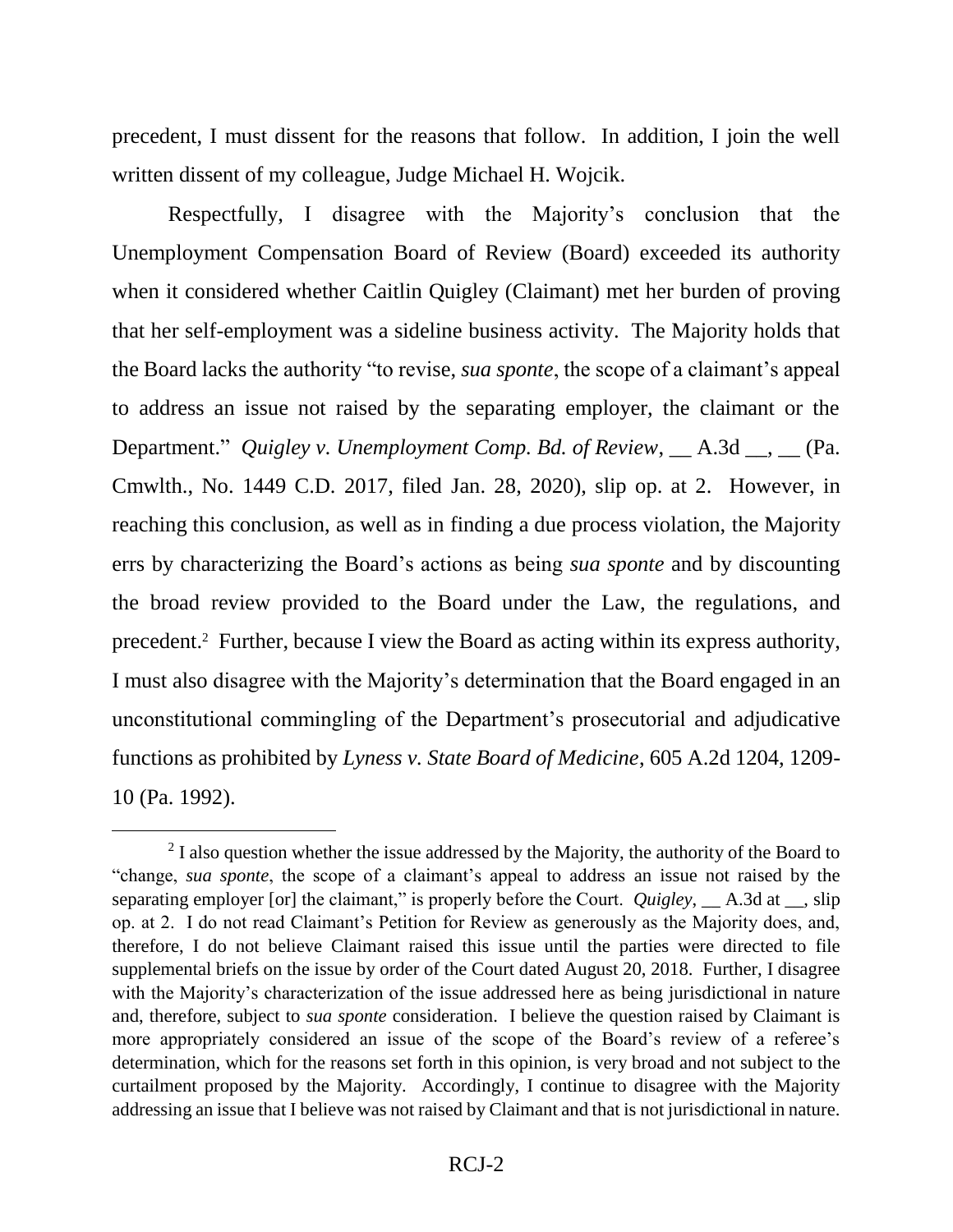precedent, I must dissent for the reasons that follow. In addition, I join the well written dissent of my colleague, Judge Michael H. Wojcik.

Respectfully, I disagree with the Majority's conclusion that the Unemployment Compensation Board of Review (Board) exceeded its authority when it considered whether Caitlin Quigley (Claimant) met her burden of proving that her self-employment was a sideline business activity. The Majority holds that the Board lacks the authority "to revise, *sua sponte*, the scope of a claimant's appeal to address an issue not raised by the separating employer, the claimant or the Department." *Quigley v. Unemployment Comp. Bd. of Review*,  $\_\_A.3d \_\_\_S\_\_$  (Pa. Cmwlth., No. 1449 C.D. 2017, filed Jan. 28, 2020), slip op. at 2. However, in reaching this conclusion, as well as in finding a due process violation, the Majority errs by characterizing the Board's actions as being *sua sponte* and by discounting the broad review provided to the Board under the Law, the regulations, and precedent. 2 Further, because I view the Board as acting within its express authority, I must also disagree with the Majority's determination that the Board engaged in an unconstitutional commingling of the Department's prosecutorial and adjudicative functions as prohibited by *Lyness v. State Board of Medicine*, 605 A.2d 1204, 1209- 10 (Pa. 1992).

 $\overline{a}$ 

 $2<sup>2</sup>$  I also question whether the issue addressed by the Majority, the authority of the Board to "change, *sua sponte*, the scope of a claimant's appeal to address an issue not raised by the separating employer [or] the claimant," is properly before the Court. *Quigley*, A.3d at , slip op. at 2. I do not read Claimant's Petition for Review as generously as the Majority does, and, therefore, I do not believe Claimant raised this issue until the parties were directed to file supplemental briefs on the issue by order of the Court dated August 20, 2018. Further, I disagree with the Majority's characterization of the issue addressed here as being jurisdictional in nature and, therefore, subject to *sua sponte* consideration. I believe the question raised by Claimant is more appropriately considered an issue of the scope of the Board's review of a referee's determination, which for the reasons set forth in this opinion, is very broad and not subject to the curtailment proposed by the Majority. Accordingly, I continue to disagree with the Majority addressing an issue that I believe was not raised by Claimant and that is not jurisdictional in nature.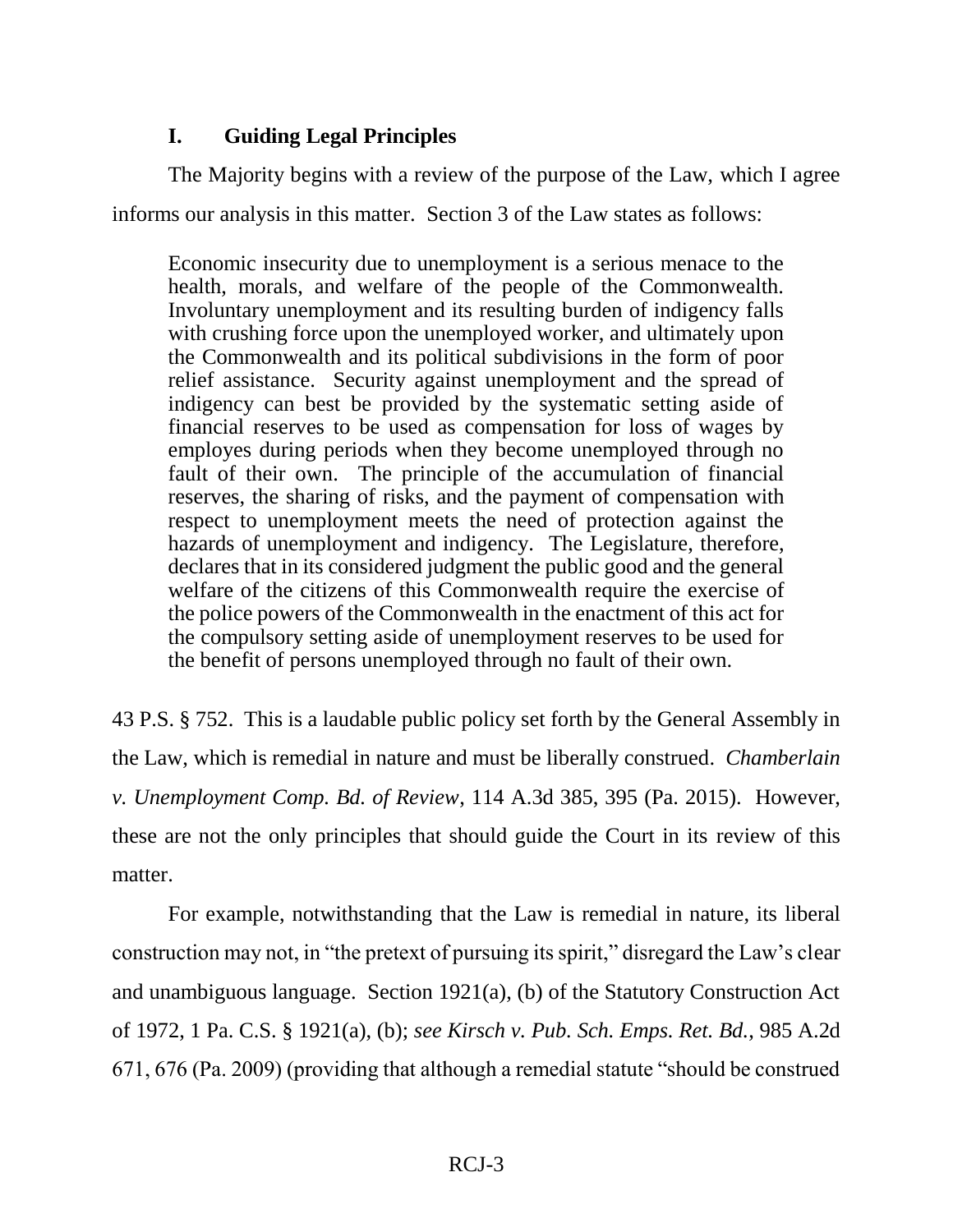# **I. Guiding Legal Principles**

The Majority begins with a review of the purpose of the Law, which I agree informs our analysis in this matter. Section 3 of the Law states as follows:

Economic insecurity due to unemployment is a serious menace to the health, morals, and welfare of the people of the Commonwealth. Involuntary unemployment and its resulting burden of indigency falls with crushing force upon the unemployed worker, and ultimately upon the Commonwealth and its political subdivisions in the form of poor relief assistance. Security against unemployment and the spread of indigency can best be provided by the systematic setting aside of financial reserves to be used as compensation for loss of wages by employes during periods when they become unemployed through no fault of their own. The principle of the accumulation of financial reserves, the sharing of risks, and the payment of compensation with respect to unemployment meets the need of protection against the hazards of unemployment and indigency. The Legislature, therefore, declares that in its considered judgment the public good and the general welfare of the citizens of this Commonwealth require the exercise of the police powers of the Commonwealth in the enactment of this act for the compulsory setting aside of unemployment reserves to be used for the benefit of persons unemployed through no fault of their own.

43 P.S. § 752. This is a laudable public policy set forth by the General Assembly in the Law, which is remedial in nature and must be liberally construed. *Chamberlain v. Unemployment Comp. Bd. of Review*, 114 A.3d 385, 395 (Pa. 2015). However, these are not the only principles that should guide the Court in its review of this matter.

For example, notwithstanding that the Law is remedial in nature, its liberal construction may not, in "the pretext of pursuing its spirit," disregard the Law's clear and unambiguous language. Section 1921(a), (b) of the Statutory Construction Act of 1972, 1 Pa. C.S. § 1921(a), (b); *see Kirsch v. Pub. Sch. Emps. Ret. Bd.*, 985 A.2d 671, 676 (Pa. 2009) (providing that although a remedial statute "should be construed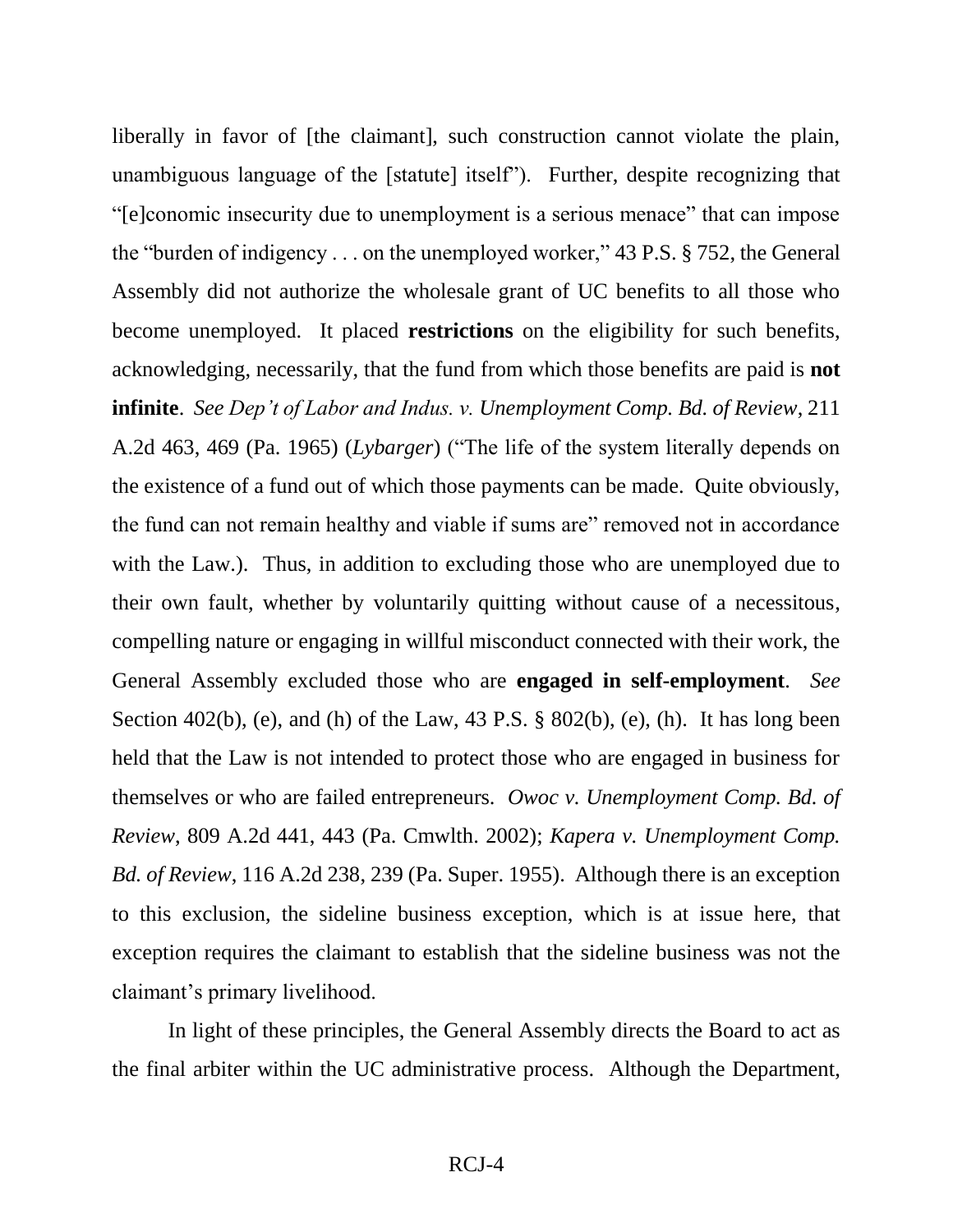liberally in favor of [the claimant], such construction cannot violate the plain, unambiguous language of the [statute] itself"). Further, despite recognizing that "[e]conomic insecurity due to unemployment is a serious menace" that can impose the "burden of indigency . . . on the unemployed worker," 43 P.S. § 752, the General Assembly did not authorize the wholesale grant of UC benefits to all those who become unemployed. It placed **restrictions** on the eligibility for such benefits, acknowledging, necessarily, that the fund from which those benefits are paid is **not infinite**. *See Dep't of Labor and Indus. v. Unemployment Comp. Bd. of Review*, 211 A.2d 463, 469 (Pa. 1965) (*Lybarger*) ("The life of the system literally depends on the existence of a fund out of which those payments can be made. Quite obviously, the fund can not remain healthy and viable if sums are" removed not in accordance with the Law.). Thus, in addition to excluding those who are unemployed due to their own fault, whether by voluntarily quitting without cause of a necessitous, compelling nature or engaging in willful misconduct connected with their work, the General Assembly excluded those who are **engaged in self-employment**. *See* Section 402(b), (e), and (h) of the Law,  $43$  P.S.  $\S$  802(b), (e), (h). It has long been held that the Law is not intended to protect those who are engaged in business for themselves or who are failed entrepreneurs. *Owoc v. Unemployment Comp. Bd. of Review*, 809 A.2d 441, 443 (Pa. Cmwlth. 2002); *Kapera v. Unemployment Comp. Bd. of Review*, 116 A.2d 238, 239 (Pa. Super. 1955). Although there is an exception to this exclusion, the sideline business exception, which is at issue here, that exception requires the claimant to establish that the sideline business was not the claimant's primary livelihood.

In light of these principles, the General Assembly directs the Board to act as the final arbiter within the UC administrative process. Although the Department,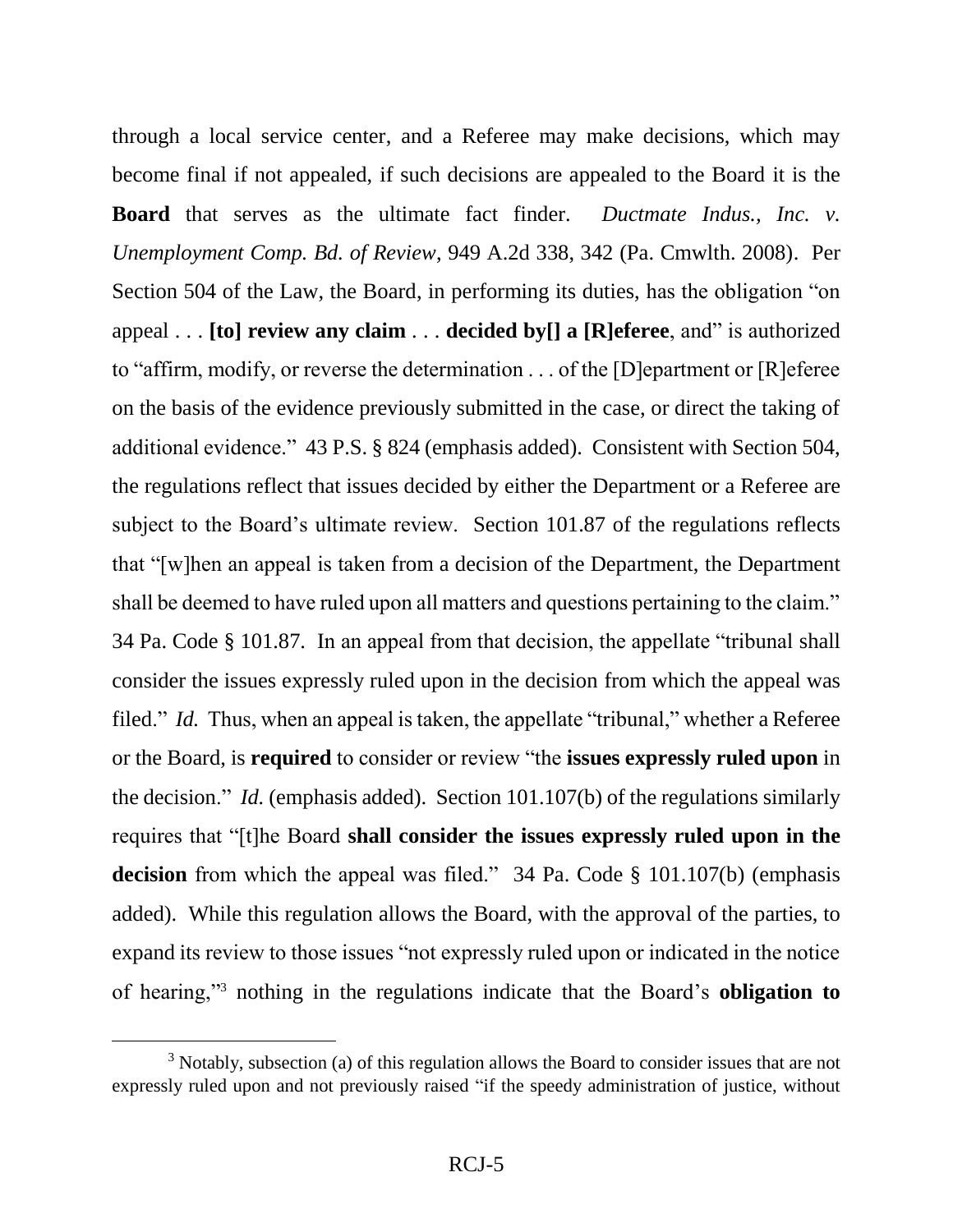through a local service center, and a Referee may make decisions, which may become final if not appealed, if such decisions are appealed to the Board it is the **Board** that serves as the ultimate fact finder. *Ductmate Indus., Inc. v. Unemployment Comp. Bd. of Review*, 949 A.2d 338, 342 (Pa. Cmwlth. 2008). Per Section 504 of the Law, the Board, in performing its duties, has the obligation "on appeal . . . **[to] review any claim** . . . **decided by[] a [R]eferee**, and" is authorized to "affirm, modify, or reverse the determination . . . of the [D]epartment or [R]eferee on the basis of the evidence previously submitted in the case, or direct the taking of additional evidence." 43 P.S. § 824 (emphasis added). Consistent with Section 504, the regulations reflect that issues decided by either the Department or a Referee are subject to the Board's ultimate review. Section 101.87 of the regulations reflects that "[w]hen an appeal is taken from a decision of the Department, the Department shall be deemed to have ruled upon all matters and questions pertaining to the claim." 34 Pa. Code § 101.87. In an appeal from that decision, the appellate "tribunal shall consider the issues expressly ruled upon in the decision from which the appeal was filed." *Id.* Thus, when an appeal is taken, the appellate "tribunal," whether a Referee or the Board, is **required** to consider or review "the **issues expressly ruled upon** in the decision." *Id.* (emphasis added). Section 101.107(b) of the regulations similarly requires that "[t]he Board **shall consider the issues expressly ruled upon in the decision** from which the appeal was filed." 34 Pa. Code § 101.107(b) (emphasis added). While this regulation allows the Board, with the approval of the parties, to expand its review to those issues "not expressly ruled upon or indicated in the notice of hearing,"<sup>3</sup> nothing in the regulations indicate that the Board's **obligation to** 

 $\overline{a}$ 

 $3$  Notably, subsection (a) of this regulation allows the Board to consider issues that are not expressly ruled upon and not previously raised "if the speedy administration of justice, without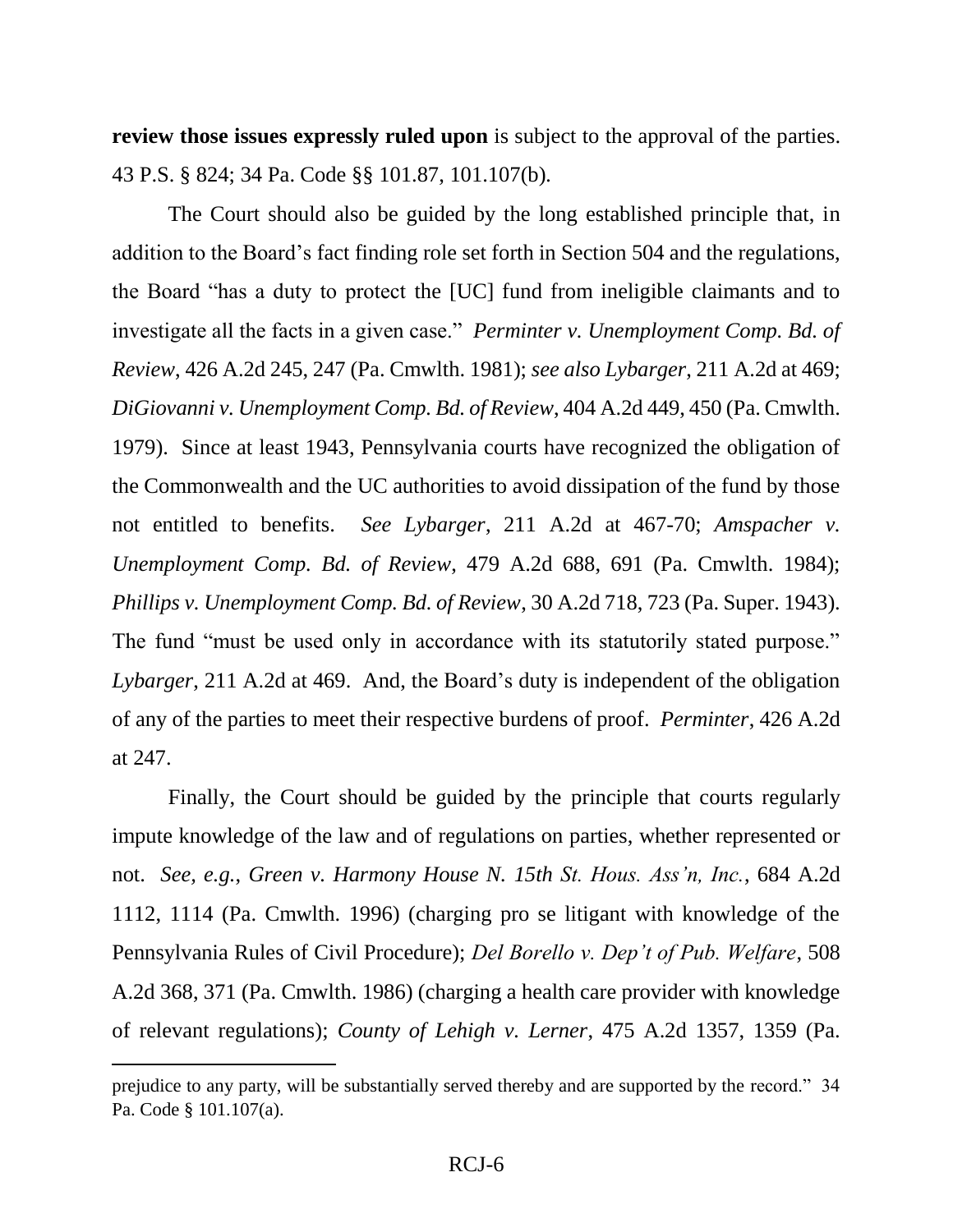**review those issues expressly ruled upon** is subject to the approval of the parties. 43 P.S. § 824; 34 Pa. Code §§ 101.87, 101.107(b)*.*

The Court should also be guided by the long established principle that, in addition to the Board's fact finding role set forth in Section 504 and the regulations, the Board "has a duty to protect the [UC] fund from ineligible claimants and to investigate all the facts in a given case." *Perminter v. Unemployment Comp. Bd. of Review*, 426 A.2d 245, 247 (Pa. Cmwlth. 1981); *see also Lybarger*, 211 A.2d at 469; *DiGiovanni v. Unemployment Comp. Bd. of Review*, 404 A.2d 449, 450 (Pa. Cmwlth. 1979). Since at least 1943, Pennsylvania courts have recognized the obligation of the Commonwealth and the UC authorities to avoid dissipation of the fund by those not entitled to benefits. *See Lybarger*, 211 A.2d at 467-70; *Amspacher v. Unemployment Comp. Bd. of Review*, 479 A.2d 688, 691 (Pa. Cmwlth. 1984); *Phillips v. Unemployment Comp. Bd. of Review*, 30 A.2d 718, 723 (Pa. Super. 1943). The fund "must be used only in accordance with its statutorily stated purpose." *Lybarger*, 211 A.2d at 469. And, the Board's duty is independent of the obligation of any of the parties to meet their respective burdens of proof. *Perminter*, 426 A.2d at 247.

Finally, the Court should be guided by the principle that courts regularly impute knowledge of the law and of regulations on parties, whether represented or not. *See, e.g.*, *Green v. Harmony House N. 15th St. Hous. Ass'n, Inc.*, 684 A.2d 1112, 1114 (Pa. Cmwlth. 1996) (charging pro se litigant with knowledge of the Pennsylvania Rules of Civil Procedure); *Del Borello v. Dep't of Pub. Welfare*, 508 A.2d 368, 371 (Pa. Cmwlth. 1986) (charging a health care provider with knowledge of relevant regulations); *County of Lehigh v. Lerner*, 475 A.2d 1357, 1359 (Pa.

 $\overline{a}$ 

prejudice to any party, will be substantially served thereby and are supported by the record." 34 Pa. Code § 101.107(a).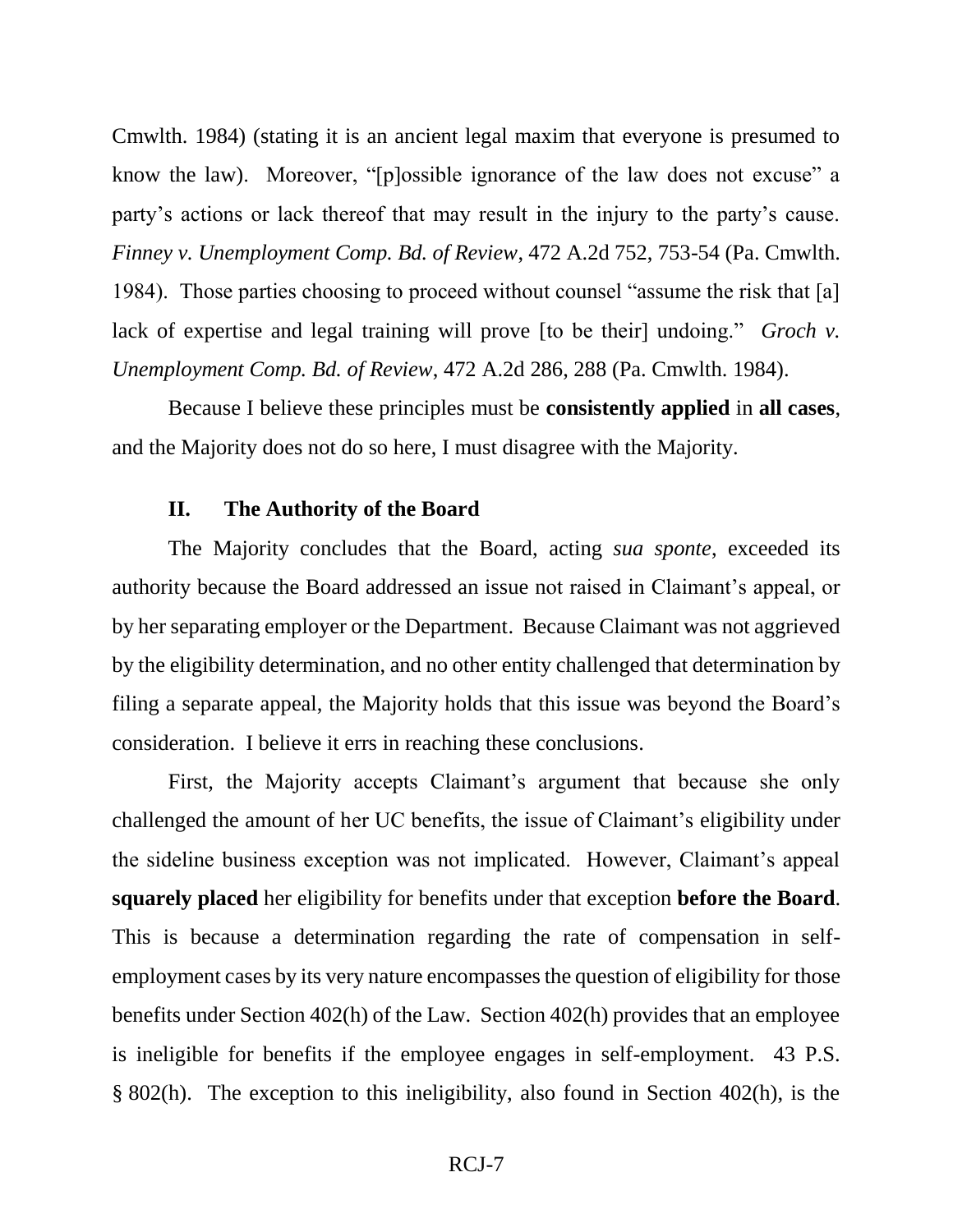Cmwlth. 1984) (stating it is an ancient legal maxim that everyone is presumed to know the law). Moreover, "[p]ossible ignorance of the law does not excuse" a party's actions or lack thereof that may result in the injury to the party's cause. *Finney v. Unemployment Comp. Bd. of Review*, 472 A.2d 752, 753-54 (Pa. Cmwlth. 1984). Those parties choosing to proceed without counsel "assume the risk that [a] lack of expertise and legal training will prove [to be their] undoing." *Groch v. Unemployment Comp. Bd. of Review*, 472 A.2d 286, 288 (Pa. Cmwlth. 1984).

Because I believe these principles must be **consistently applied** in **all cases**, and the Majority does not do so here, I must disagree with the Majority.

### **II. The Authority of the Board**

The Majority concludes that the Board, acting *sua sponte*, exceeded its authority because the Board addressed an issue not raised in Claimant's appeal, or by her separating employer or the Department. Because Claimant was not aggrieved by the eligibility determination, and no other entity challenged that determination by filing a separate appeal, the Majority holds that this issue was beyond the Board's consideration. I believe it errs in reaching these conclusions.

First, the Majority accepts Claimant's argument that because she only challenged the amount of her UC benefits, the issue of Claimant's eligibility under the sideline business exception was not implicated. However, Claimant's appeal **squarely placed** her eligibility for benefits under that exception **before the Board**. This is because a determination regarding the rate of compensation in selfemployment cases by its very nature encompasses the question of eligibility for those benefits under Section 402(h) of the Law. Section 402(h) provides that an employee is ineligible for benefits if the employee engages in self-employment. 43 P.S. § 802(h). The exception to this ineligibility, also found in Section 402(h), is the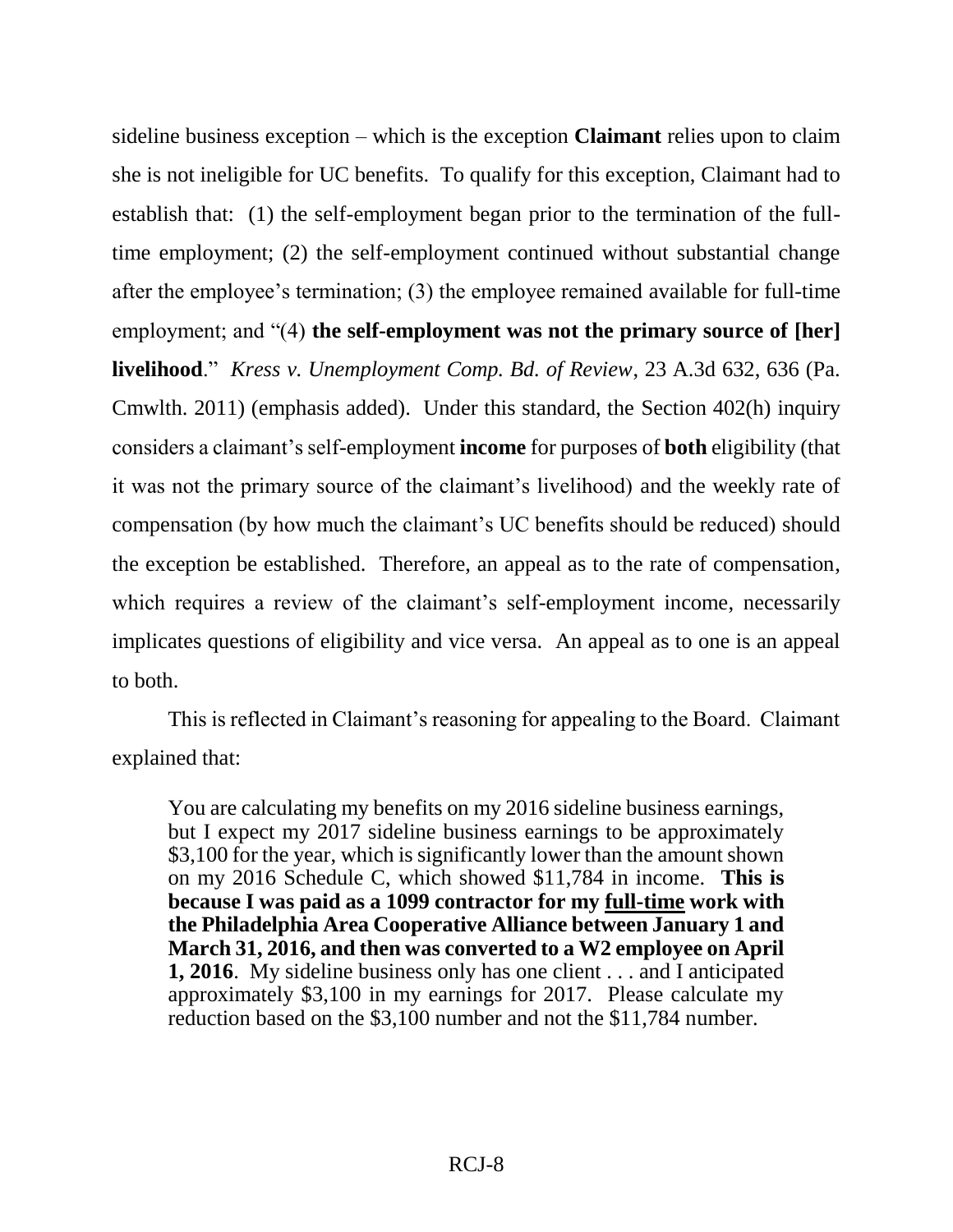sideline business exception – which is the exception **Claimant** relies upon to claim she is not ineligible for UC benefits. To qualify for this exception, Claimant had to establish that: (1) the self-employment began prior to the termination of the fulltime employment; (2) the self-employment continued without substantial change after the employee's termination; (3) the employee remained available for full-time employment; and "(4) **the self-employment was not the primary source of [her]**

**livelihood**." *Kress v. Unemployment Comp. Bd. of Review*, 23 A.3d 632, 636 (Pa. Cmwlth. 2011) (emphasis added). Under this standard, the Section 402(h) inquiry considers a claimant's self-employment **income** for purposes of **both** eligibility (that it was not the primary source of the claimant's livelihood) and the weekly rate of compensation (by how much the claimant's UC benefits should be reduced) should the exception be established. Therefore, an appeal as to the rate of compensation, which requires a review of the claimant's self-employment income, necessarily implicates questions of eligibility and vice versa. An appeal as to one is an appeal to both.

This is reflected in Claimant's reasoning for appealing to the Board. Claimant explained that:

You are calculating my benefits on my 2016 sideline business earnings, but I expect my 2017 sideline business earnings to be approximately \$3,100 for the year, which is significantly lower than the amount shown on my 2016 Schedule C, which showed \$11,784 in income. **This is because I was paid as a 1099 contractor for my full-time work with the Philadelphia Area Cooperative Alliance between January 1 and March 31, 2016, and then was converted to a W2 employee on April 1, 2016**. My sideline business only has one client . . . and I anticipated approximately \$3,100 in my earnings for 2017. Please calculate my reduction based on the \$3,100 number and not the \$11,784 number.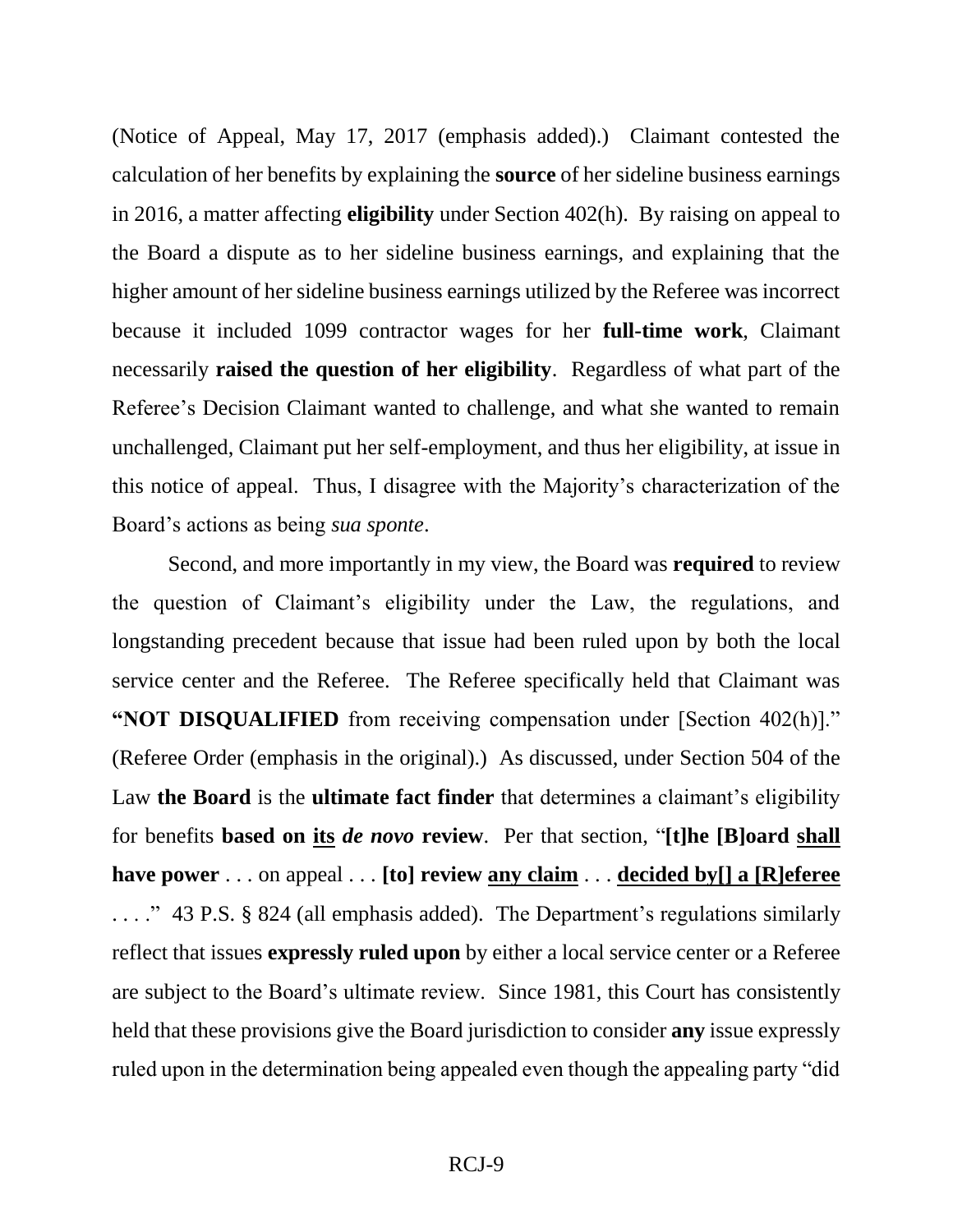(Notice of Appeal, May 17, 2017 (emphasis added).) Claimant contested the calculation of her benefits by explaining the **source** of her sideline business earnings in 2016, a matter affecting **eligibility** under Section 402(h). By raising on appeal to the Board a dispute as to her sideline business earnings, and explaining that the higher amount of her sideline business earnings utilized by the Referee was incorrect because it included 1099 contractor wages for her **full-time work**, Claimant necessarily **raised the question of her eligibility**. Regardless of what part of the Referee's Decision Claimant wanted to challenge, and what she wanted to remain unchallenged, Claimant put her self-employment, and thus her eligibility, at issue in this notice of appeal. Thus, I disagree with the Majority's characterization of the Board's actions as being *sua sponte*.

Second, and more importantly in my view, the Board was **required** to review the question of Claimant's eligibility under the Law, the regulations, and longstanding precedent because that issue had been ruled upon by both the local service center and the Referee. The Referee specifically held that Claimant was **"NOT DISQUALIFIED** from receiving compensation under [Section 402(h)]." (Referee Order (emphasis in the original).) As discussed, under Section 504 of the Law **the Board** is the **ultimate fact finder** that determines a claimant's eligibility for benefits **based on its** *de novo* **review**. Per that section, "**[t]he [B]oard shall have power** . . . on appeal . . . **[to] review any claim** . . . **decided by[] a [R]eferee** . . . ." 43 P.S. § 824 (all emphasis added). The Department's regulations similarly reflect that issues **expressly ruled upon** by either a local service center or a Referee are subject to the Board's ultimate review. Since 1981, this Court has consistently held that these provisions give the Board jurisdiction to consider **any** issue expressly ruled upon in the determination being appealed even though the appealing party "did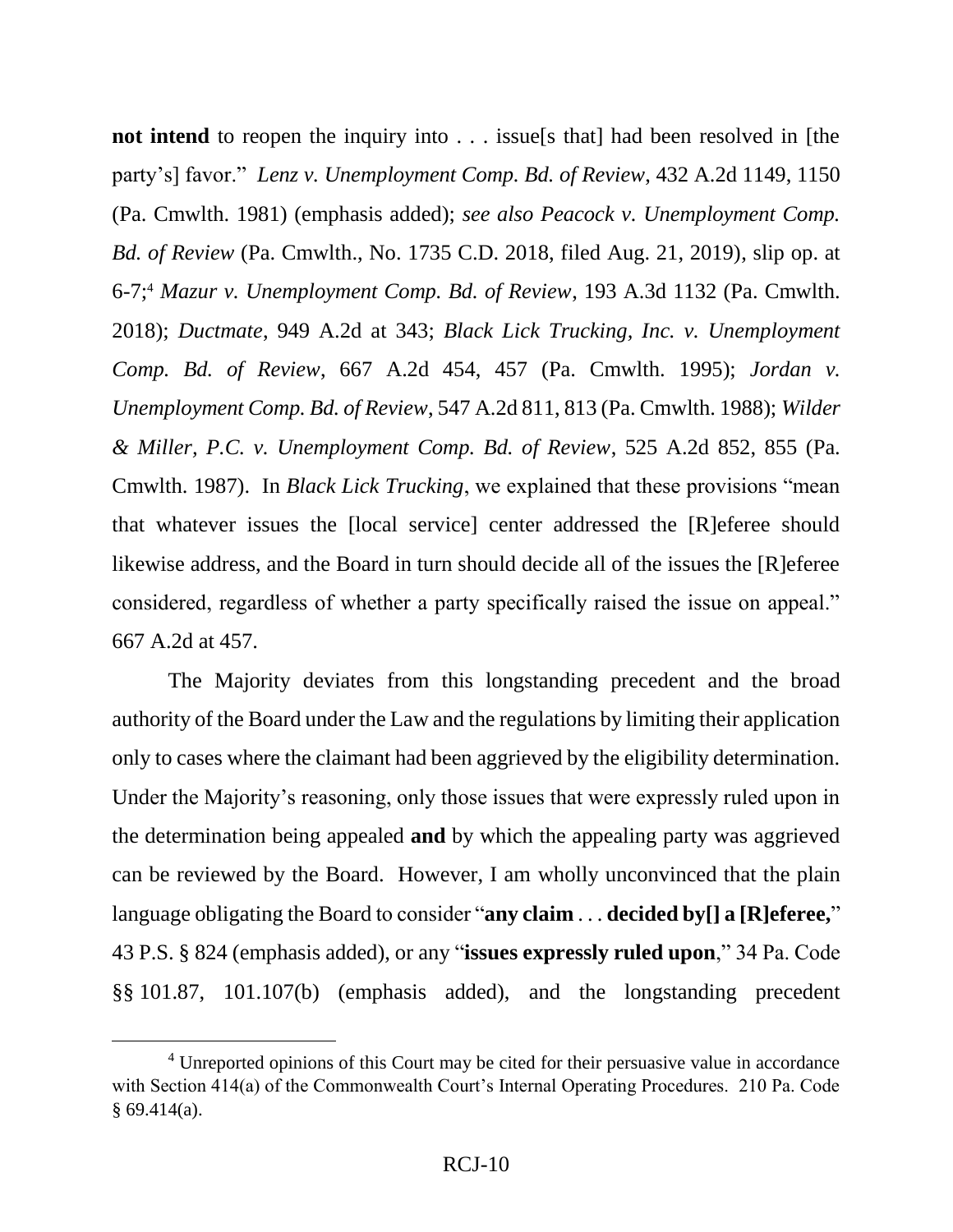**not intend** to reopen the inquiry into . . . issue [s that] had been resolved in [the party's] favor." *Lenz v. Unemployment Comp. Bd. of Review*, 432 A.2d 1149, 1150 (Pa. Cmwlth. 1981) (emphasis added); *see also Peacock v. Unemployment Comp. Bd. of Review* (Pa. Cmwlth., No. 1735 C.D. 2018, filed Aug. 21, 2019), slip op. at 6-7; <sup>4</sup> *Mazur v. Unemployment Comp. Bd. of Review*, 193 A.3d 1132 (Pa. Cmwlth. 2018); *Ductmate*, 949 A.2d at 343; *Black Lick Trucking, Inc. v. Unemployment Comp. Bd. of Review*, 667 A.2d 454, 457 (Pa. Cmwlth. 1995); *Jordan v. Unemployment Comp. Bd. of Review*, 547 A.2d 811, 813 (Pa. Cmwlth. 1988); *Wilder & Miller, P.C. v. Unemployment Comp. Bd. of Review*, 525 A.2d 852, 855 (Pa. Cmwlth. 1987). In *Black Lick Trucking*, we explained that these provisions "mean that whatever issues the [local service] center addressed the [R]eferee should likewise address, and the Board in turn should decide all of the issues the [R]eferee considered, regardless of whether a party specifically raised the issue on appeal." 667 A.2d at 457.

The Majority deviates from this longstanding precedent and the broad authority of the Board under the Law and the regulations by limiting their application only to cases where the claimant had been aggrieved by the eligibility determination. Under the Majority's reasoning, only those issues that were expressly ruled upon in the determination being appealed **and** by which the appealing party was aggrieved can be reviewed by the Board. However, I am wholly unconvinced that the plain language obligating the Board to consider "**any claim** . . . **decided by[] a [R]eferee,**" 43 P.S. § 824 (emphasis added), or any "**issues expressly ruled upon**," 34 Pa. Code §§ 101.87, 101.107(b) (emphasis added), and the longstanding precedent

 $\overline{a}$ 

<sup>&</sup>lt;sup>4</sup> Unreported opinions of this Court may be cited for their persuasive value in accordance with Section 414(a) of the Commonwealth Court's Internal Operating Procedures. 210 Pa. Code  $§ 69.414(a).$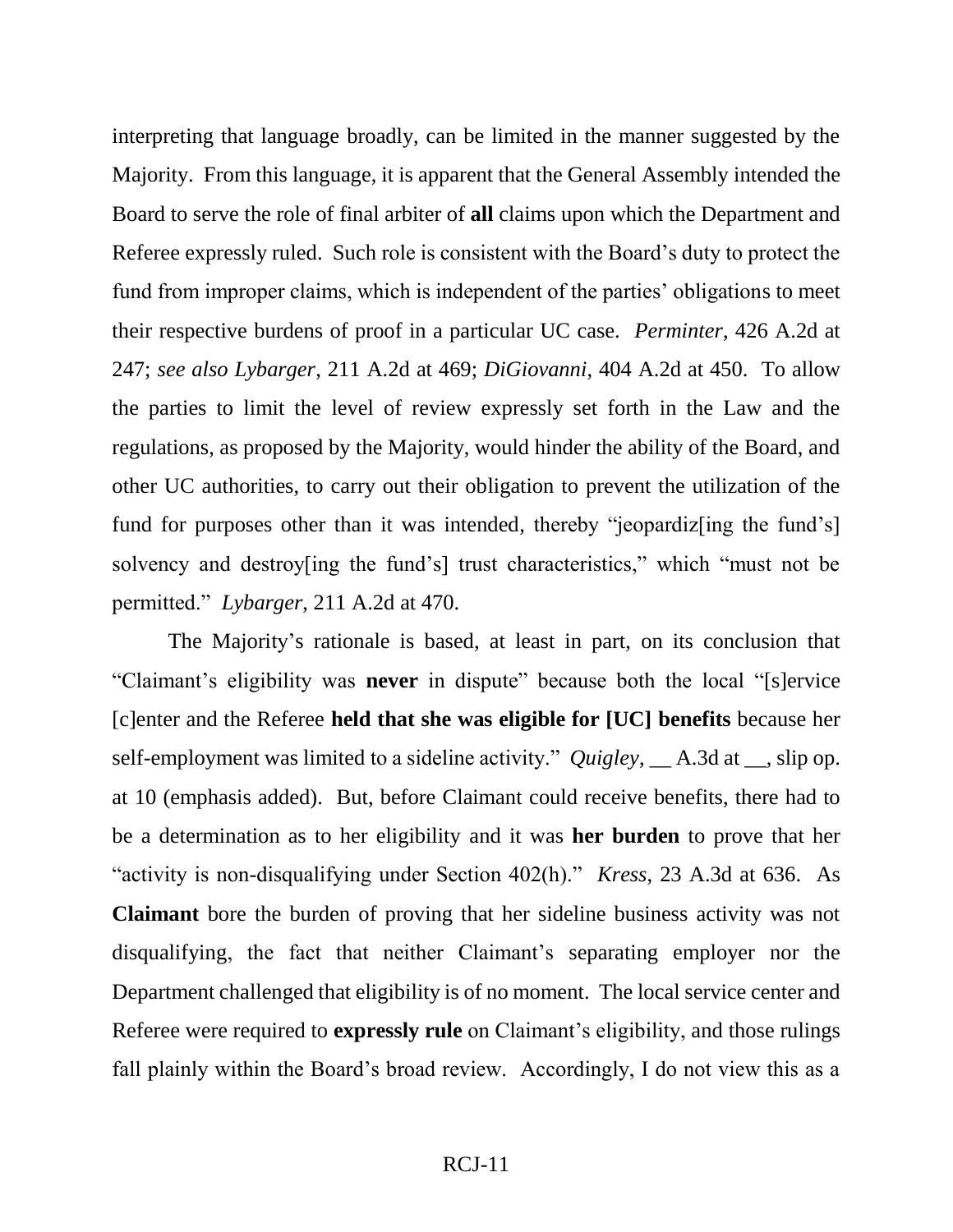interpreting that language broadly, can be limited in the manner suggested by the Majority. From this language, it is apparent that the General Assembly intended the Board to serve the role of final arbiter of **all** claims upon which the Department and Referee expressly ruled. Such role is consistent with the Board's duty to protect the fund from improper claims, which is independent of the parties' obligations to meet their respective burdens of proof in a particular UC case. *Perminter*, 426 A.2d at 247; *see also Lybarger*, 211 A.2d at 469; *DiGiovanni*, 404 A.2d at 450. To allow the parties to limit the level of review expressly set forth in the Law and the regulations, as proposed by the Majority, would hinder the ability of the Board, and other UC authorities, to carry out their obligation to prevent the utilization of the fund for purposes other than it was intended, thereby "jeopardiz [ing the fund's] solvency and destroy[ing the fund's] trust characteristics," which "must not be permitted." *Lybarger*, 211 A.2d at 470.

The Majority's rationale is based, at least in part, on its conclusion that "Claimant's eligibility was **never** in dispute" because both the local "[s]ervice [c]enter and the Referee **held that she was eligible for [UC] benefits** because her self-employment was limited to a sideline activity." *Quigley*, \_\_ A.3d at \_\_, slip op. at 10 (emphasis added). But, before Claimant could receive benefits, there had to be a determination as to her eligibility and it was **her burden** to prove that her "activity is non-disqualifying under Section 402(h)." *Kress*, 23 A.3d at 636. As **Claimant** bore the burden of proving that her sideline business activity was not disqualifying, the fact that neither Claimant's separating employer nor the Department challenged that eligibility is of no moment. The local service center and Referee were required to **expressly rule** on Claimant's eligibility, and those rulings fall plainly within the Board's broad review. Accordingly, I do not view this as a

#### RCJ-11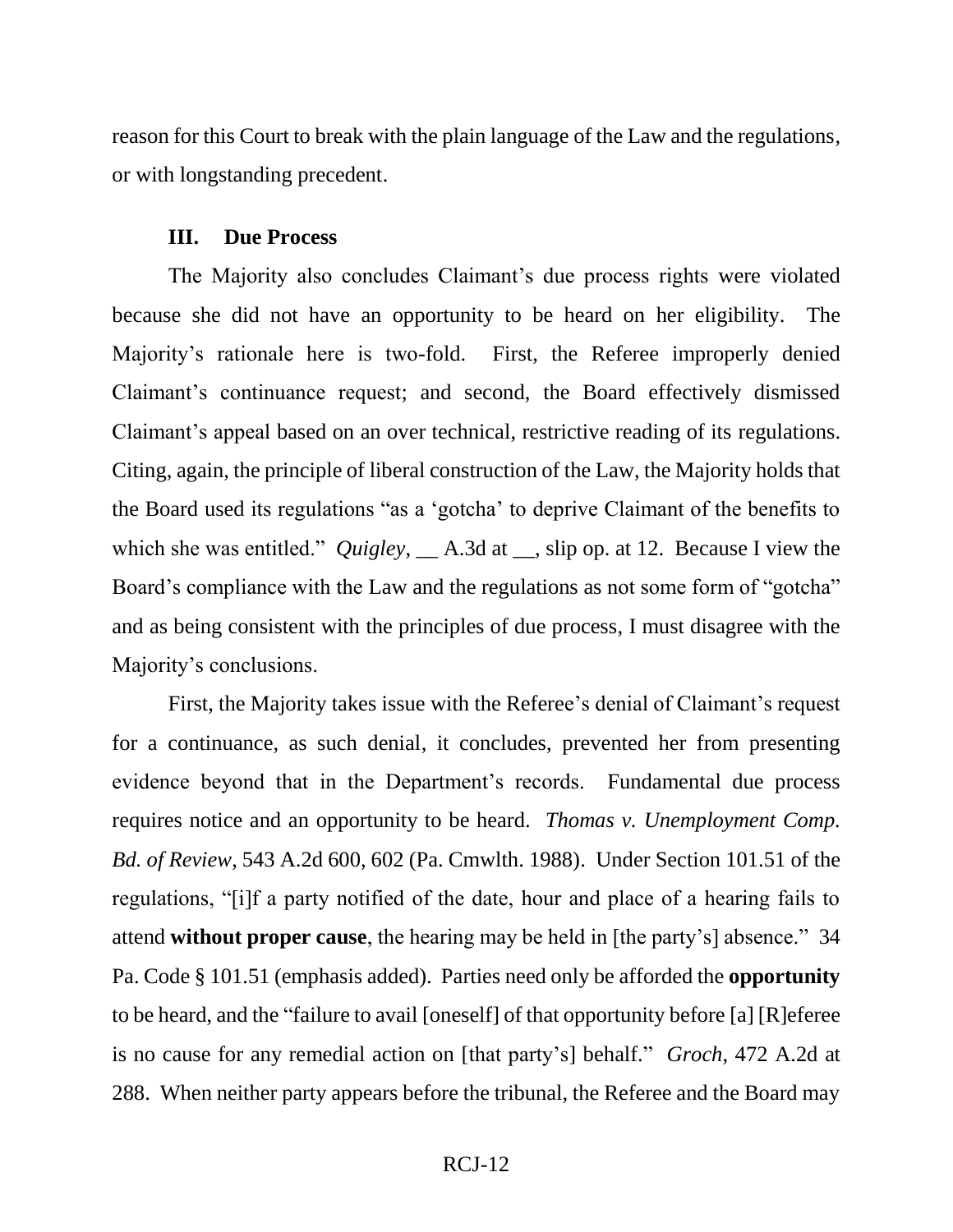reason for this Court to break with the plain language of the Law and the regulations, or with longstanding precedent.

#### **III. Due Process**

The Majority also concludes Claimant's due process rights were violated because she did not have an opportunity to be heard on her eligibility. The Majority's rationale here is two-fold. First, the Referee improperly denied Claimant's continuance request; and second, the Board effectively dismissed Claimant's appeal based on an over technical, restrictive reading of its regulations. Citing, again, the principle of liberal construction of the Law, the Majority holds that the Board used its regulations "as a 'gotcha' to deprive Claimant of the benefits to which she was entitled." *Quigley*,  $\_\_$  A.3d at  $\_\_$ , slip op. at 12. Because I view the Board's compliance with the Law and the regulations as not some form of "gotcha" and as being consistent with the principles of due process, I must disagree with the Majority's conclusions.

First, the Majority takes issue with the Referee's denial of Claimant's request for a continuance, as such denial, it concludes, prevented her from presenting evidence beyond that in the Department's records. Fundamental due process requires notice and an opportunity to be heard. *Thomas v. Unemployment Comp. Bd. of Review*, 543 A.2d 600, 602 (Pa. Cmwlth. 1988). Under Section 101.51 of the regulations, "[i]f a party notified of the date, hour and place of a hearing fails to attend **without proper cause**, the hearing may be held in [the party's] absence." 34 Pa. Code § 101.51 (emphasis added). Parties need only be afforded the **opportunity** to be heard, and the "failure to avail [oneself] of that opportunity before [a] [R]eferee is no cause for any remedial action on [that party's] behalf." *Groch*, 472 A.2d at 288. When neither party appears before the tribunal, the Referee and the Board may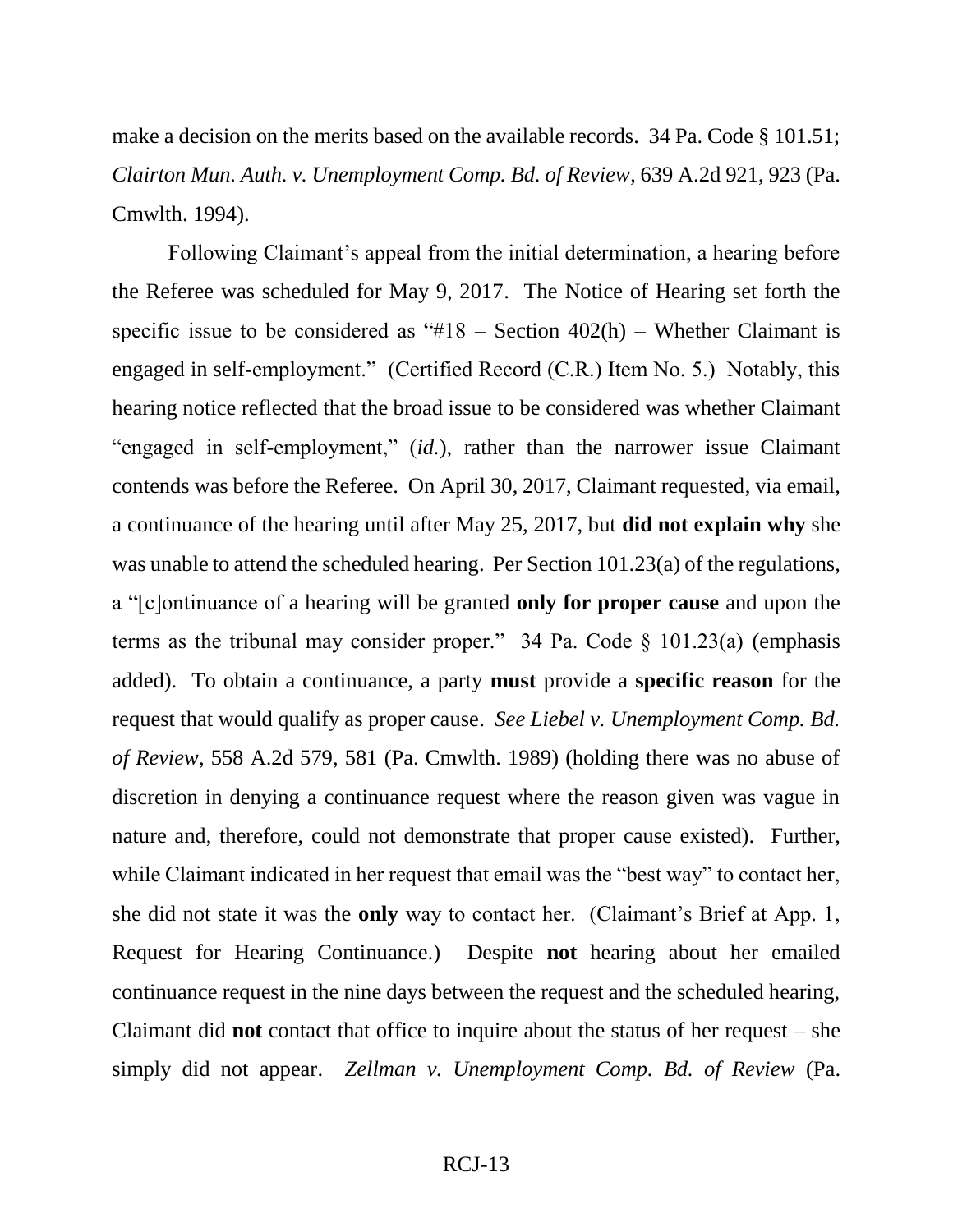make a decision on the merits based on the available records. 34 Pa. Code § 101.51; *Clairton Mun. Auth. v. Unemployment Comp. Bd. of Review*, 639 A.2d 921, 923 (Pa. Cmwlth. 1994).

Following Claimant's appeal from the initial determination, a hearing before the Referee was scheduled for May 9, 2017. The Notice of Hearing set forth the specific issue to be considered as "#18 – Section  $402(h)$  – Whether Claimant is engaged in self-employment." (Certified Record (C.R.) Item No. 5.) Notably, this hearing notice reflected that the broad issue to be considered was whether Claimant "engaged in self-employment," (*id.*), rather than the narrower issue Claimant contends was before the Referee. On April 30, 2017, Claimant requested, via email, a continuance of the hearing until after May 25, 2017, but **did not explain why** she was unable to attend the scheduled hearing. Per Section 101.23(a) of the regulations, a "[c]ontinuance of a hearing will be granted **only for proper cause** and upon the terms as the tribunal may consider proper." 34 Pa. Code  $\S$  101.23(a) (emphasis added). To obtain a continuance, a party **must** provide a **specific reason** for the request that would qualify as proper cause. *See Liebel v. Unemployment Comp. Bd. of Review*, 558 A.2d 579, 581 (Pa. Cmwlth. 1989) (holding there was no abuse of discretion in denying a continuance request where the reason given was vague in nature and, therefore, could not demonstrate that proper cause existed). Further, while Claimant indicated in her request that email was the "best way" to contact her, she did not state it was the **only** way to contact her. (Claimant's Brief at App. 1, Request for Hearing Continuance.) Despite **not** hearing about her emailed continuance request in the nine days between the request and the scheduled hearing, Claimant did **not** contact that office to inquire about the status of her request – she simply did not appear. *Zellman v. Unemployment Comp. Bd. of Review* (Pa.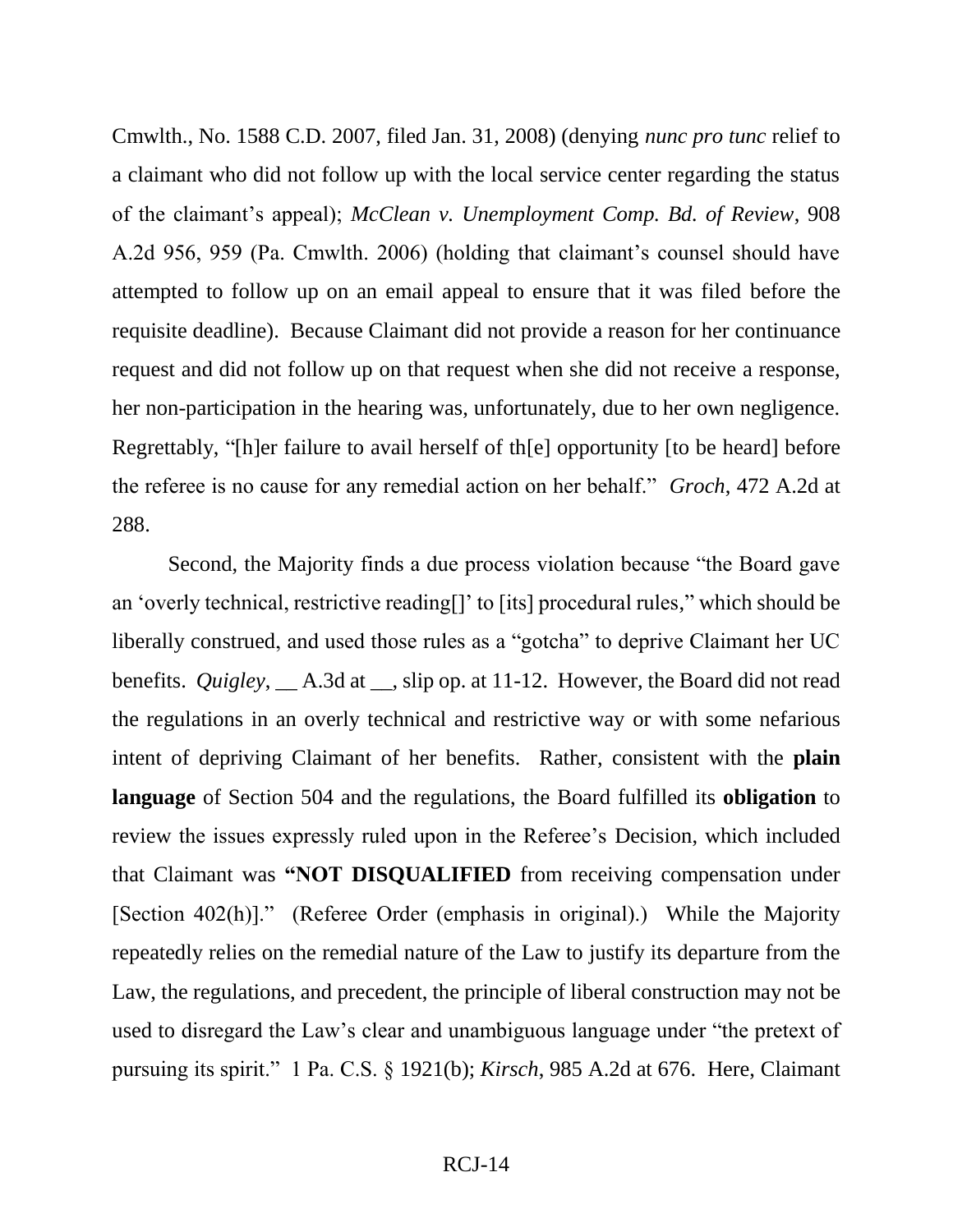Cmwlth., No. 1588 C.D. 2007, filed Jan. 31, 2008) (denying *nunc pro tunc* relief to a claimant who did not follow up with the local service center regarding the status of the claimant's appeal); *McClean v. Unemployment Comp. Bd. of Review*, 908 A.2d 956, 959 (Pa. Cmwlth. 2006) (holding that claimant's counsel should have attempted to follow up on an email appeal to ensure that it was filed before the requisite deadline). Because Claimant did not provide a reason for her continuance request and did not follow up on that request when she did not receive a response, her non-participation in the hearing was, unfortunately, due to her own negligence. Regrettably, "[h]er failure to avail herself of th[e] opportunity [to be heard] before the referee is no cause for any remedial action on her behalf." *Groch*, 472 A.2d at 288.

Second, the Majority finds a due process violation because "the Board gave an 'overly technical, restrictive reading[]' to [its] procedural rules," which should be liberally construed, and used those rules as a "gotcha" to deprive Claimant her UC benefits. *Quigley*, \_\_ A.3d at \_\_, slip op. at 11-12. However, the Board did not read the regulations in an overly technical and restrictive way or with some nefarious intent of depriving Claimant of her benefits. Rather, consistent with the **plain language** of Section 504 and the regulations, the Board fulfilled its **obligation** to review the issues expressly ruled upon in the Referee's Decision, which included that Claimant was **"NOT DISQUALIFIED** from receiving compensation under [Section 402(h)]." (Referee Order (emphasis in original).) While the Majority repeatedly relies on the remedial nature of the Law to justify its departure from the Law, the regulations, and precedent, the principle of liberal construction may not be used to disregard the Law's clear and unambiguous language under "the pretext of pursuing its spirit." 1 Pa. C.S. § 1921(b); *Kirsch*, 985 A.2d at 676. Here, Claimant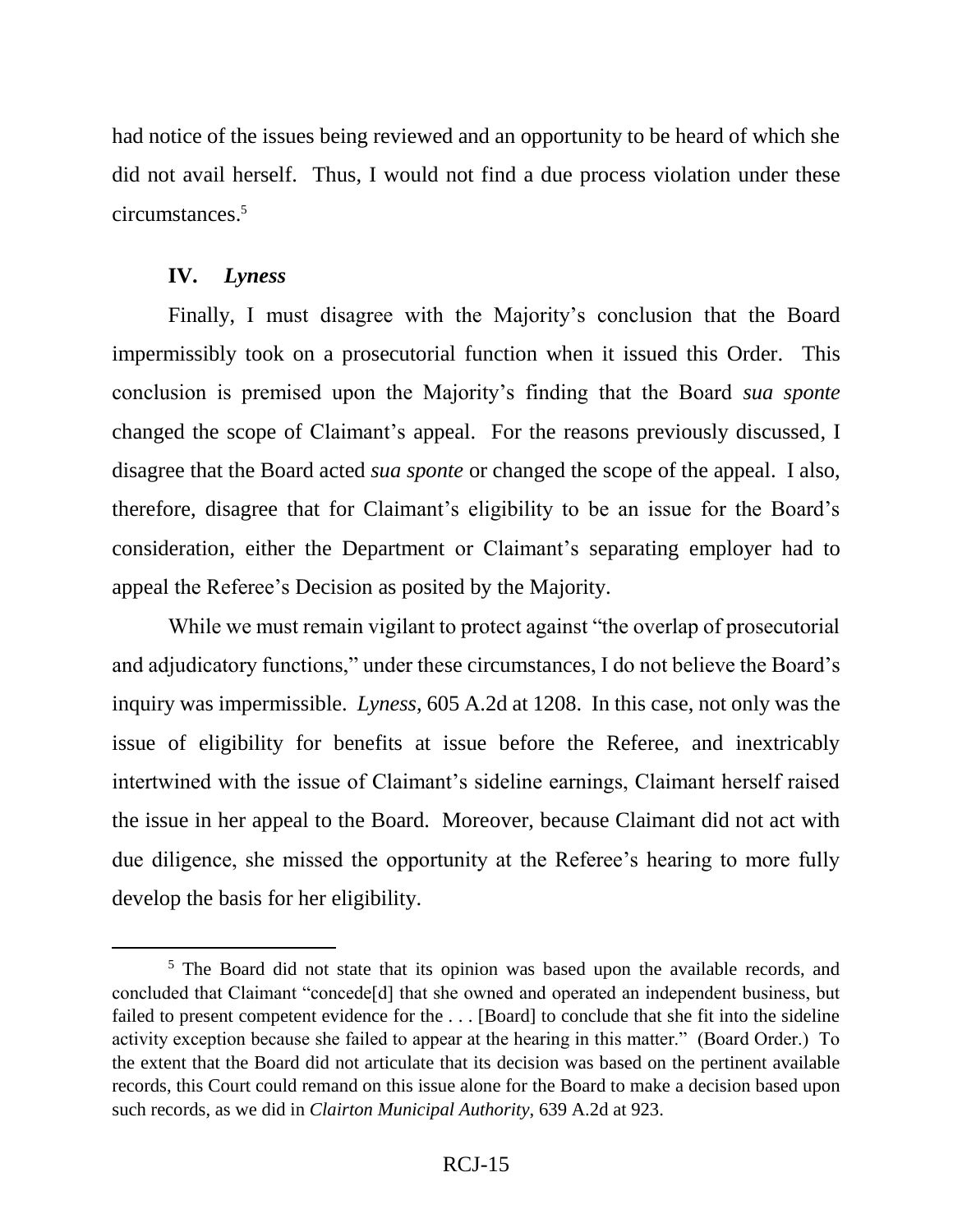had notice of the issues being reviewed and an opportunity to be heard of which she did not avail herself. Thus, I would not find a due process violation under these circumstances. 5

# **IV.** *Lyness*

 $\overline{a}$ 

Finally, I must disagree with the Majority's conclusion that the Board impermissibly took on a prosecutorial function when it issued this Order. This conclusion is premised upon the Majority's finding that the Board *sua sponte* changed the scope of Claimant's appeal. For the reasons previously discussed, I disagree that the Board acted *sua sponte* or changed the scope of the appeal. I also, therefore, disagree that for Claimant's eligibility to be an issue for the Board's consideration, either the Department or Claimant's separating employer had to appeal the Referee's Decision as posited by the Majority.

While we must remain vigilant to protect against "the overlap of prosecutorial and adjudicatory functions," under these circumstances, I do not believe the Board's inquiry was impermissible. *Lyness*, 605 A.2d at 1208. In this case, not only was the issue of eligibility for benefits at issue before the Referee, and inextricably intertwined with the issue of Claimant's sideline earnings, Claimant herself raised the issue in her appeal to the Board. Moreover, because Claimant did not act with due diligence, she missed the opportunity at the Referee's hearing to more fully develop the basis for her eligibility.

<sup>&</sup>lt;sup>5</sup> The Board did not state that its opinion was based upon the available records, and concluded that Claimant "concede[d] that she owned and operated an independent business, but failed to present competent evidence for the . . . [Board] to conclude that she fit into the sideline activity exception because she failed to appear at the hearing in this matter." (Board Order.) To the extent that the Board did not articulate that its decision was based on the pertinent available records, this Court could remand on this issue alone for the Board to make a decision based upon such records, as we did in *Clairton Municipal Authority*, 639 A.2d at 923.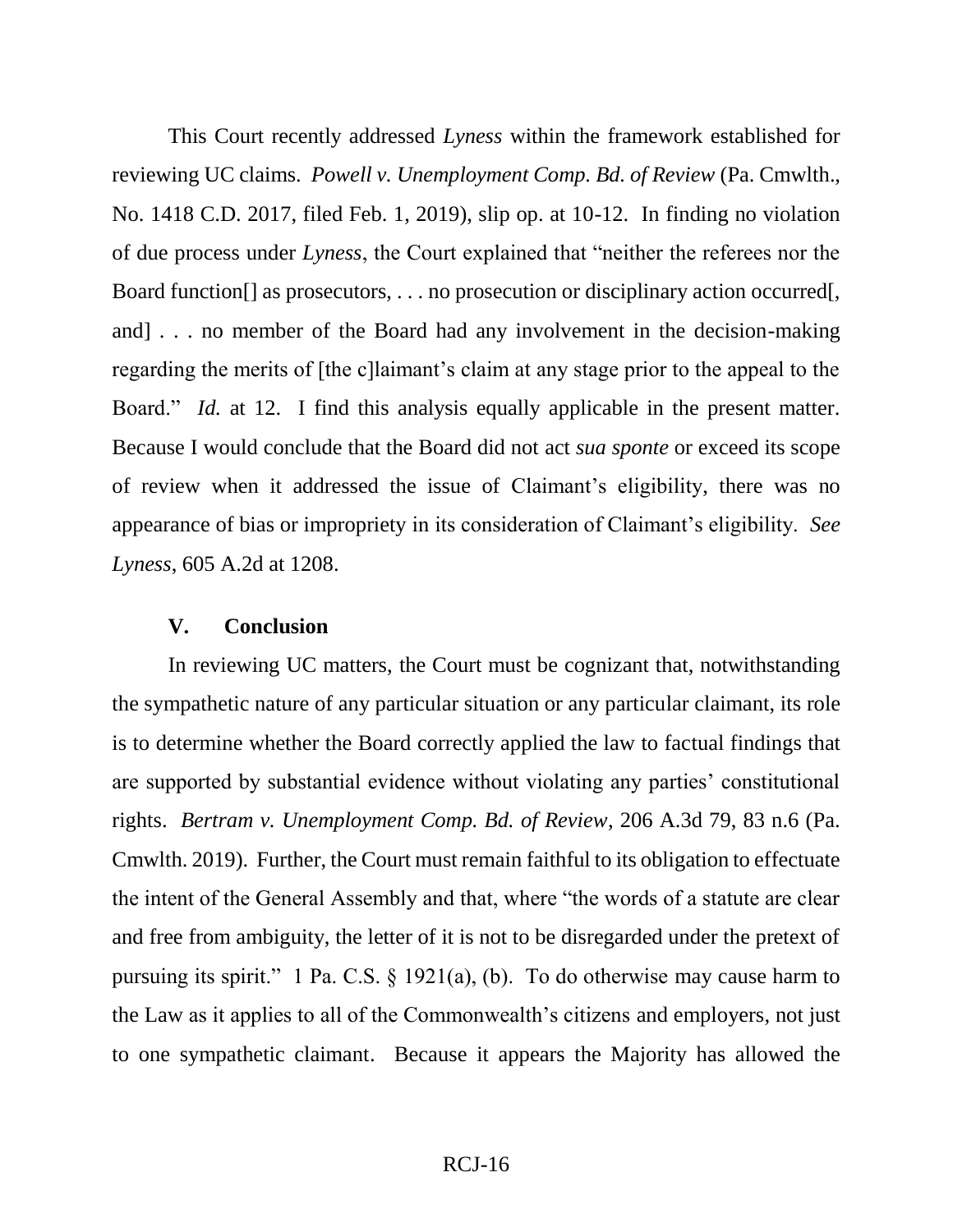This Court recently addressed *Lyness* within the framework established for reviewing UC claims. *Powell v. Unemployment Comp. Bd. of Review* (Pa. Cmwlth., No. 1418 C.D. 2017, filed Feb. 1, 2019), slip op. at 10-12. In finding no violation of due process under *Lyness*, the Court explained that "neither the referees nor the Board function<sup>[]</sup> as prosecutors, . . . no prosecution or disciplinary action occurred. and] . . . no member of the Board had any involvement in the decision-making regarding the merits of [the c]laimant's claim at any stage prior to the appeal to the Board." *Id.* at 12. I find this analysis equally applicable in the present matter. Because I would conclude that the Board did not act *sua sponte* or exceed its scope of review when it addressed the issue of Claimant's eligibility, there was no appearance of bias or impropriety in its consideration of Claimant's eligibility. *See Lyness*, 605 A.2d at 1208.

#### **V. Conclusion**

In reviewing UC matters, the Court must be cognizant that, notwithstanding the sympathetic nature of any particular situation or any particular claimant, its role is to determine whether the Board correctly applied the law to factual findings that are supported by substantial evidence without violating any parties' constitutional rights. *Bertram v. Unemployment Comp. Bd. of Review*, 206 A.3d 79, 83 n.6 (Pa. Cmwlth. 2019). Further, the Court must remain faithful to its obligation to effectuate the intent of the General Assembly and that, where "the words of a statute are clear and free from ambiguity, the letter of it is not to be disregarded under the pretext of pursuing its spirit." 1 Pa. C.S. § 1921(a), (b). To do otherwise may cause harm to the Law as it applies to all of the Commonwealth's citizens and employers, not just to one sympathetic claimant. Because it appears the Majority has allowed the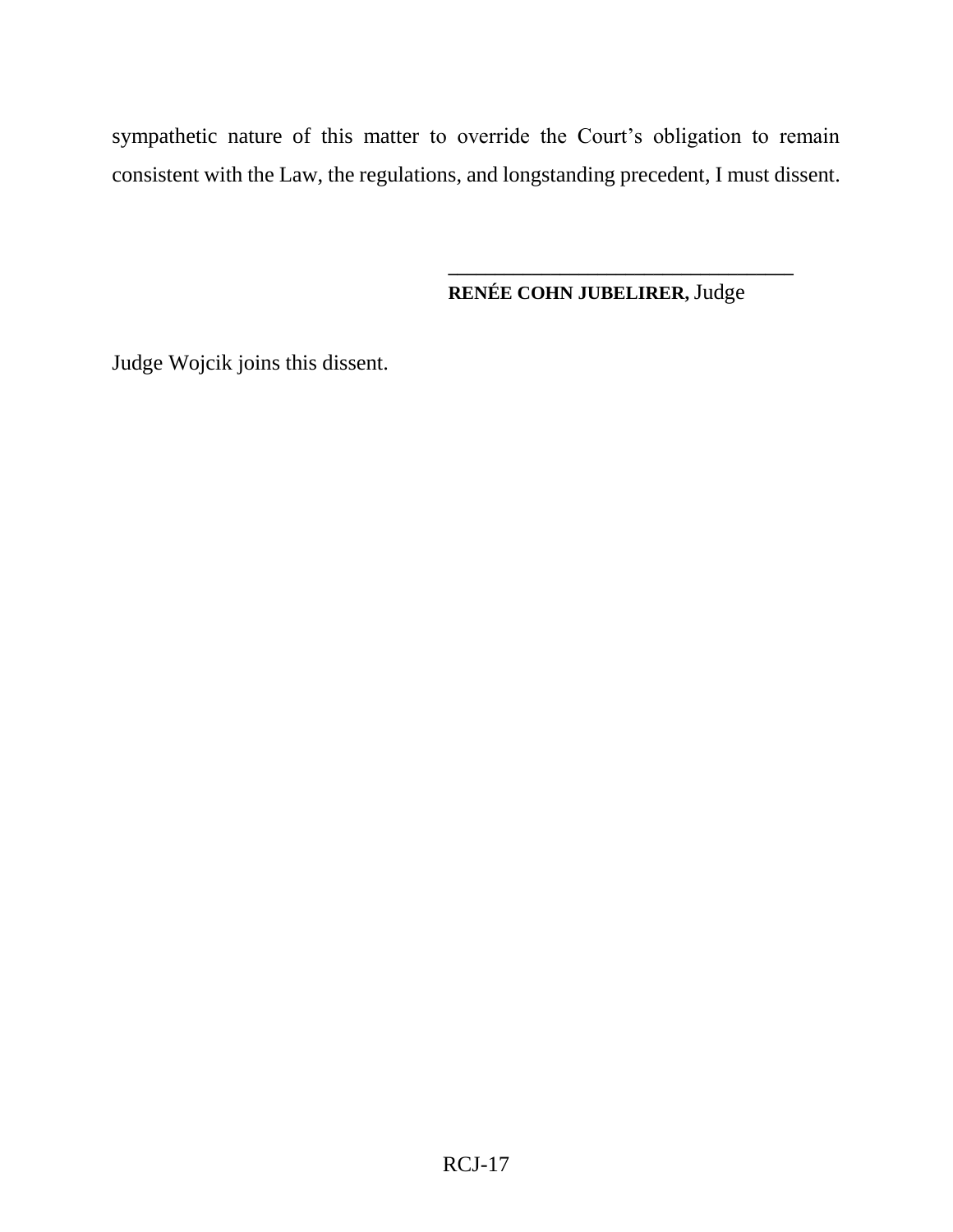sympathetic nature of this matter to override the Court's obligation to remain consistent with the Law, the regulations, and longstanding precedent, I must dissent.

**RENÉE COHN JUBELIRER,** Judge

**\_\_\_\_\_\_\_\_\_\_\_\_\_\_\_\_\_\_\_\_\_\_\_\_\_\_\_\_\_\_\_\_\_\_\_\_\_**

Judge Wojcik joins this dissent.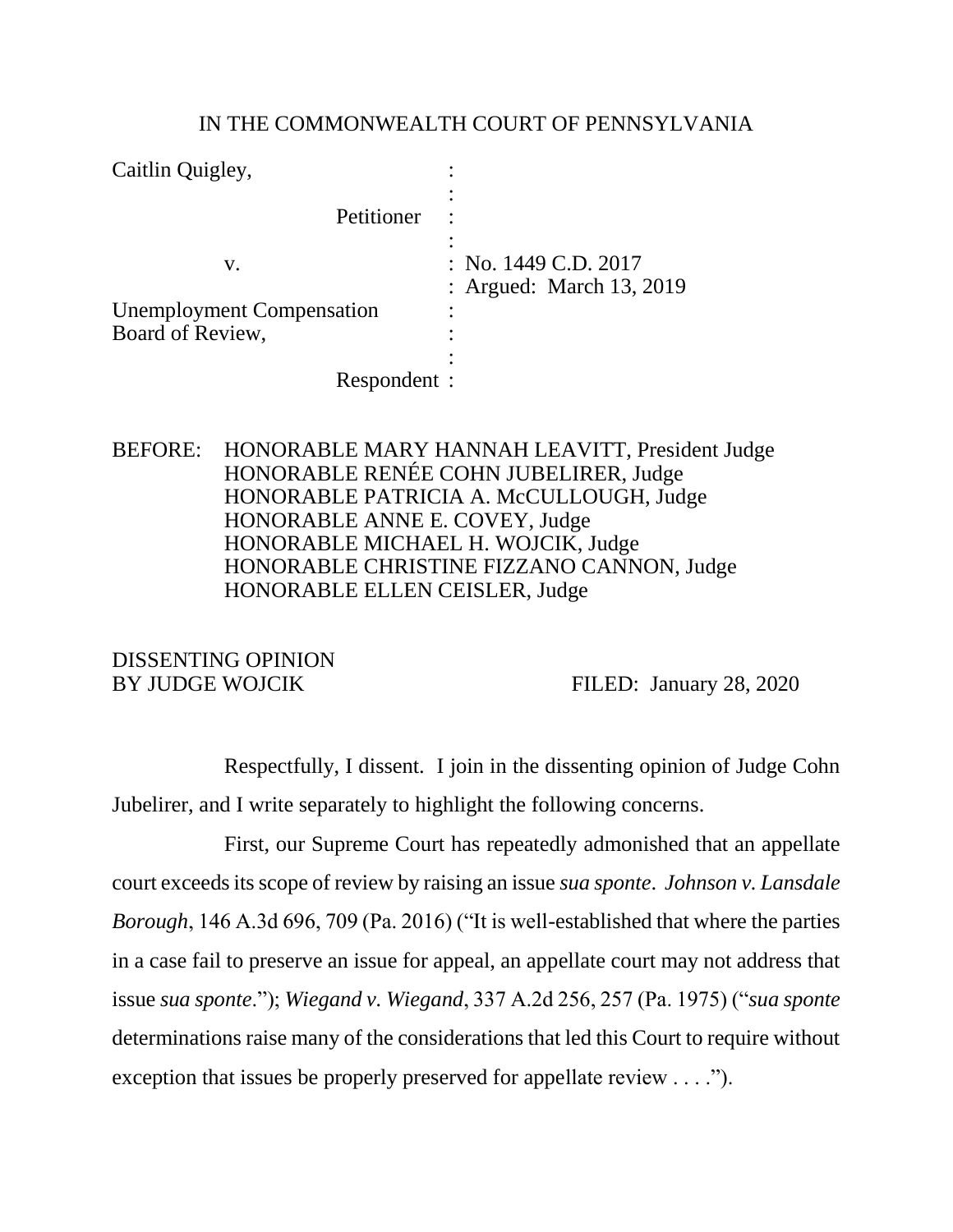#### IN THE COMMONWEALTH COURT OF PENNSYLVANIA

| Caitlin Quigley,                 |                                                      |
|----------------------------------|------------------------------------------------------|
| Petitioner                       |                                                      |
| V.                               | : No. $1449$ C.D. $2017$<br>: Argued: March 13, 2019 |
| <b>Unemployment Compensation</b> |                                                      |
| Board of Review,                 |                                                      |
|                                  |                                                      |
| Respondent :                     |                                                      |

BEFORE: HONORABLE MARY HANNAH LEAVITT, President Judge HONORABLE RENÉE COHN JUBELIRER, Judge HONORABLE PATRICIA A. McCULLOUGH, Judge HONORABLE ANNE E. COVEY, Judge HONORABLE MICHAEL H. WOJCIK, Judge HONORABLE CHRISTINE FIZZANO CANNON, Judge HONORABLE ELLEN CEISLER, Judge

# DISSENTING OPINION

BY JUDGE WOJCIK FILED: January 28, 2020

Respectfully, I dissent. I join in the dissenting opinion of Judge Cohn Jubelirer, and I write separately to highlight the following concerns.

First, our Supreme Court has repeatedly admonished that an appellate court exceeds its scope of review by raising an issue *sua sponte*. *Johnson v. Lansdale Borough*, 146 A.3d 696, 709 (Pa. 2016) ("It is well-established that where the parties in a case fail to preserve an issue for appeal, an appellate court may not address that issue *sua sponte*."); *Wiegand v. Wiegand*, 337 A.2d 256, 257 (Pa. 1975) ("*sua sponte* determinations raise many of the considerations that led this Court to require without exception that issues be properly preserved for appellate review . . . .").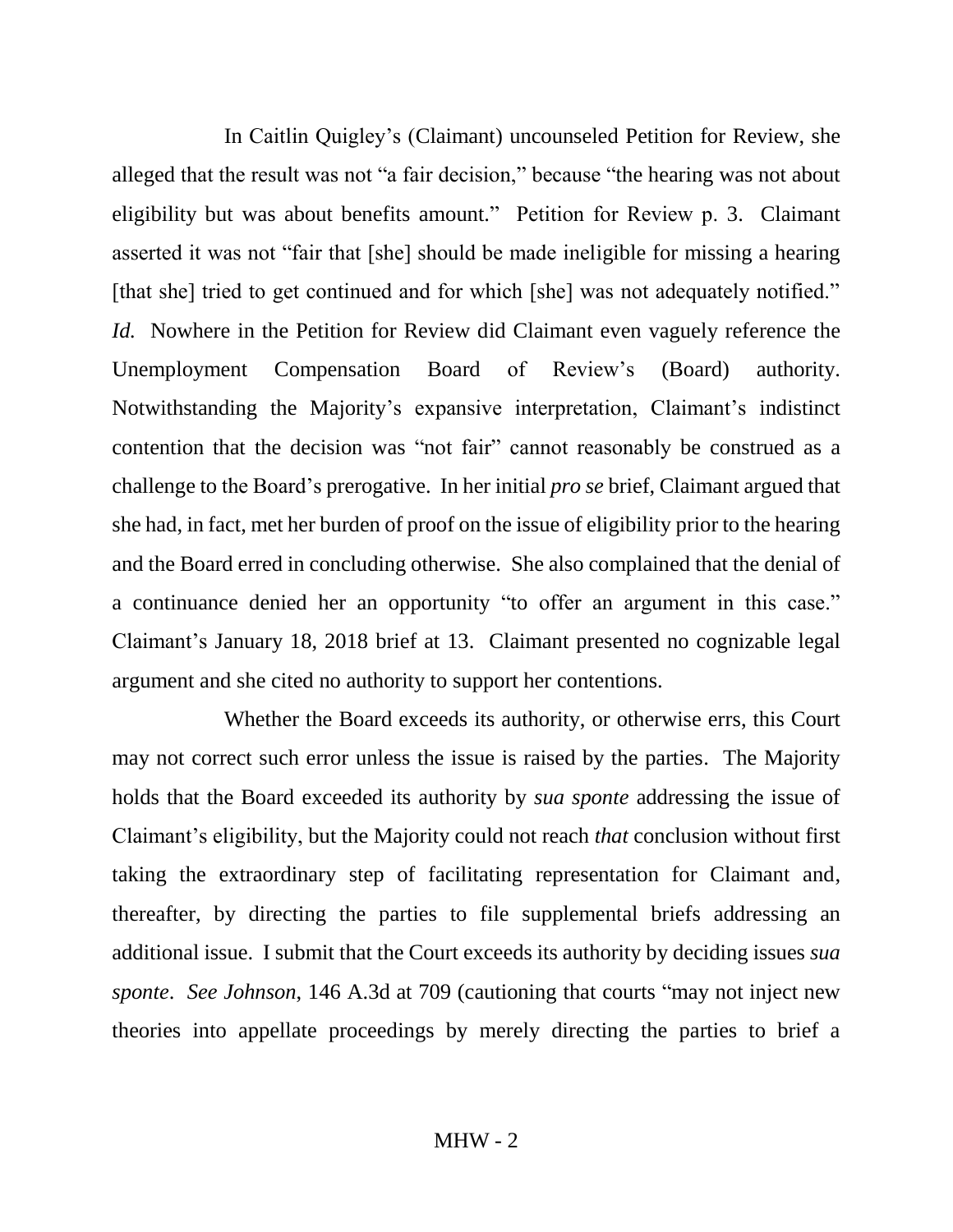In Caitlin Quigley's (Claimant) uncounseled Petition for Review, she alleged that the result was not "a fair decision," because "the hearing was not about eligibility but was about benefits amount." Petition for Review p. 3. Claimant asserted it was not "fair that [she] should be made ineligible for missing a hearing [that she] tried to get continued and for which [she] was not adequately notified." *Id.* Nowhere in the Petition for Review did Claimant even vaguely reference the Unemployment Compensation Board of Review's (Board) authority. Notwithstanding the Majority's expansive interpretation, Claimant's indistinct contention that the decision was "not fair" cannot reasonably be construed as a challenge to the Board's prerogative. In her initial *pro se* brief, Claimant argued that she had, in fact, met her burden of proof on the issue of eligibility prior to the hearing and the Board erred in concluding otherwise. She also complained that the denial of a continuance denied her an opportunity "to offer an argument in this case." Claimant's January 18, 2018 brief at 13. Claimant presented no cognizable legal argument and she cited no authority to support her contentions.

Whether the Board exceeds its authority, or otherwise errs, this Court may not correct such error unless the issue is raised by the parties. The Majority holds that the Board exceeded its authority by *sua sponte* addressing the issue of Claimant's eligibility, but the Majority could not reach *that* conclusion without first taking the extraordinary step of facilitating representation for Claimant and, thereafter, by directing the parties to file supplemental briefs addressing an additional issue. I submit that the Court exceeds its authority by deciding issues *sua sponte*. *See Johnson*, 146 A.3d at 709 (cautioning that courts "may not inject new theories into appellate proceedings by merely directing the parties to brief a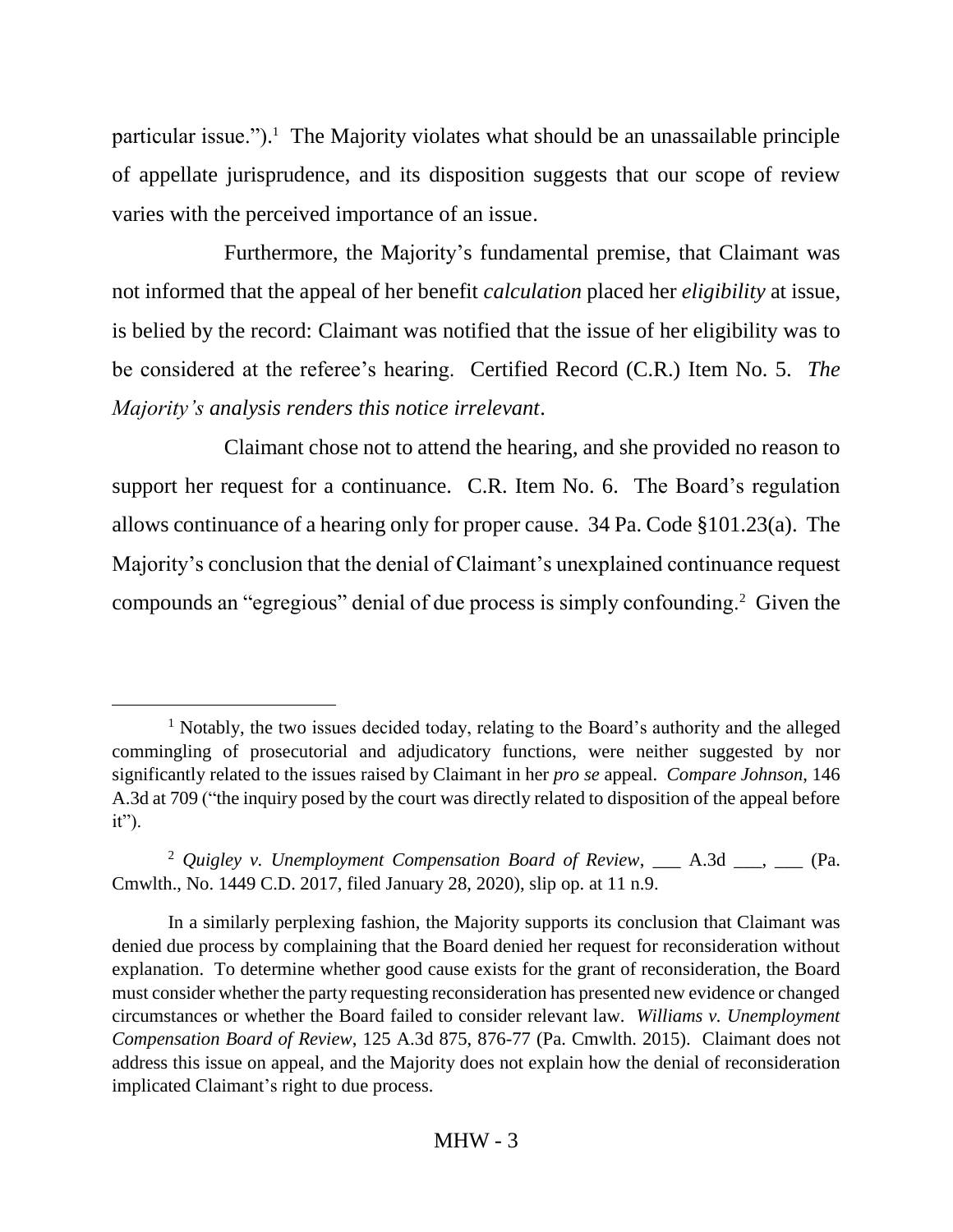particular issue."). <sup>1</sup> The Majority violates what should be an unassailable principle of appellate jurisprudence, and its disposition suggests that our scope of review varies with the perceived importance of an issue.

Furthermore, the Majority's fundamental premise, that Claimant was not informed that the appeal of her benefit *calculation* placed her *eligibility* at issue, is belied by the record: Claimant was notified that the issue of her eligibility was to be considered at the referee's hearing. Certified Record (C.R.) Item No. 5. *The Majority's analysis renders this notice irrelevant*.

Claimant chose not to attend the hearing, and she provided no reason to support her request for a continuance. C.R. Item No. 6. The Board's regulation allows continuance of a hearing only for proper cause. 34 Pa. Code §101.23(a). The Majority's conclusion that the denial of Claimant's unexplained continuance request compounds an "egregious" denial of due process is simply confounding.<sup>2</sup> Given the

<sup>&</sup>lt;sup>1</sup> Notably, the two issues decided today, relating to the Board's authority and the alleged commingling of prosecutorial and adjudicatory functions, were neither suggested by nor significantly related to the issues raised by Claimant in her *pro se* appeal. *Compare Johnson*, 146 A.3d at 709 ("the inquiry posed by the court was directly related to disposition of the appeal before  $it$ ").

<sup>&</sup>lt;sup>2</sup> Quigley v. Unemployment Compensation Board of Review, \_\_\_ A.3d \_\_\_, \_\_\_ (Pa. Cmwlth., No. 1449 C.D. 2017, filed January 28, 2020), slip op. at 11 n.9.

In a similarly perplexing fashion, the Majority supports its conclusion that Claimant was denied due process by complaining that the Board denied her request for reconsideration without explanation. To determine whether good cause exists for the grant of reconsideration, the Board must consider whether the party requesting reconsideration has presented new evidence or changed circumstances or whether the Board failed to consider relevant law. *Williams v. Unemployment Compensation Board of Review*, 125 A.3d 875, 876-77 (Pa. Cmwlth. 2015). Claimant does not address this issue on appeal, and the Majority does not explain how the denial of reconsideration implicated Claimant's right to due process.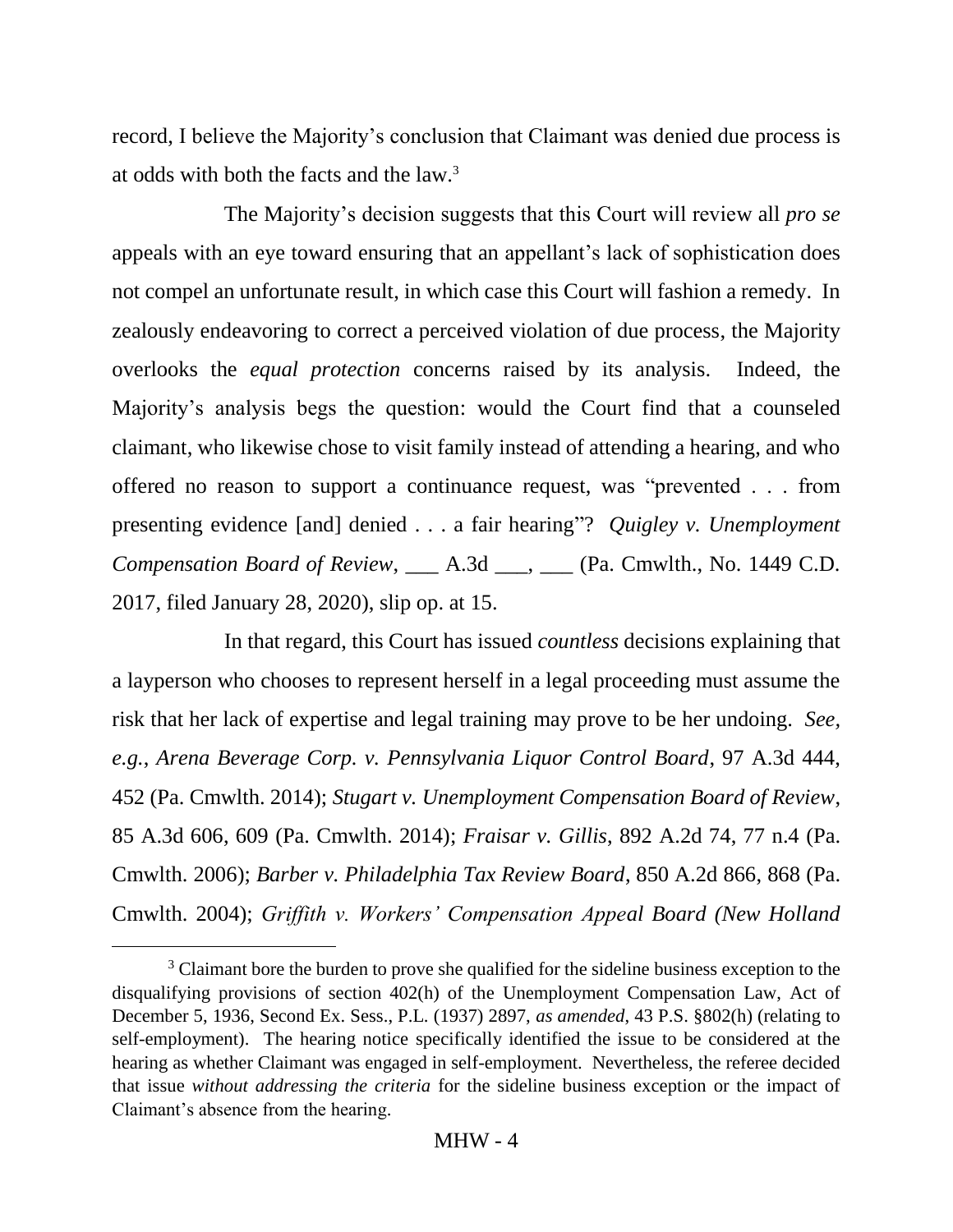record, I believe the Majority's conclusion that Claimant was denied due process is at odds with both the facts and the law.<sup>3</sup>

The Majority's decision suggests that this Court will review all *pro se* appeals with an eye toward ensuring that an appellant's lack of sophistication does not compel an unfortunate result, in which case this Court will fashion a remedy. In zealously endeavoring to correct a perceived violation of due process, the Majority overlooks the *equal protection* concerns raised by its analysis. Indeed, the Majority's analysis begs the question: would the Court find that a counseled claimant, who likewise chose to visit family instead of attending a hearing, and who offered no reason to support a continuance request, was "prevented . . . from presenting evidence [and] denied . . . a fair hearing"? *Quigley v. Unemployment Compensation Board of Review*, \_\_\_ A.3d \_\_\_, \_\_\_ (Pa. Cmwlth., No. 1449 C.D. 2017, filed January 28, 2020), slip op. at 15.

In that regard, this Court has issued *countless* decisions explaining that a layperson who chooses to represent herself in a legal proceeding must assume the risk that her lack of expertise and legal training may prove to be her undoing. *See, e.g.*, *Arena Beverage Corp. v. Pennsylvania Liquor Control Board*, 97 A.3d 444, 452 (Pa. Cmwlth. 2014); *Stugart v. Unemployment Compensation Board of Review*, 85 A.3d 606, 609 (Pa. Cmwlth. 2014); *Fraisar v. Gillis*, 892 A.2d 74, 77 n.4 (Pa. Cmwlth. 2006); *Barber v. Philadelphia Tax Review Board*, 850 A.2d 866, 868 (Pa. Cmwlth. 2004); *Griffith v. Workers' Compensation Appeal Board (New Holland* 

 $\overline{a}$ 

<sup>&</sup>lt;sup>3</sup> Claimant bore the burden to prove she qualified for the sideline business exception to the disqualifying provisions of section 402(h) of the Unemployment Compensation Law, Act of December 5, 1936, Second Ex. Sess., P.L. (1937) 2897, *as amended*, 43 P.S. §802(h) (relating to self-employment). The hearing notice specifically identified the issue to be considered at the hearing as whether Claimant was engaged in self-employment. Nevertheless, the referee decided that issue *without addressing the criteria* for the sideline business exception or the impact of Claimant's absence from the hearing.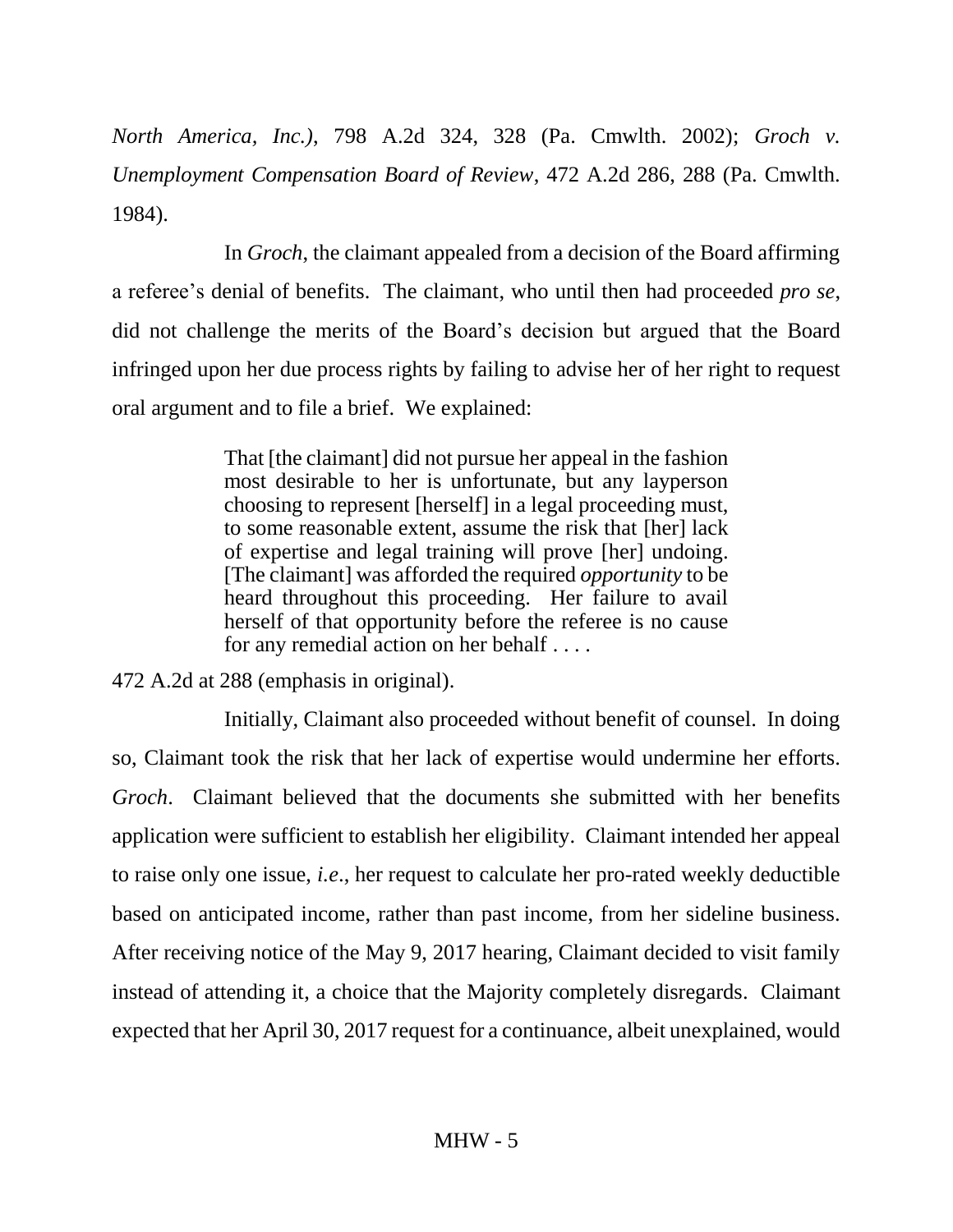*North America, Inc.)*, 798 A.2d 324, 328 (Pa. Cmwlth. 2002); *Groch v. Unemployment Compensation Board of Review*, 472 A.2d 286, 288 (Pa. Cmwlth. 1984).

In *Groch*, the claimant appealed from a decision of the Board affirming a referee's denial of benefits. The claimant, who until then had proceeded *pro se*, did not challenge the merits of the Board's decision but argued that the Board infringed upon her due process rights by failing to advise her of her right to request oral argument and to file a brief. We explained:

> That [the claimant] did not pursue her appeal in the fashion most desirable to her is unfortunate, but any layperson choosing to represent [herself] in a legal proceeding must, to some reasonable extent, assume the risk that [her] lack of expertise and legal training will prove [her] undoing. [The claimant] was afforded the required *opportunity* to be heard throughout this proceeding. Her failure to avail herself of that opportunity before the referee is no cause for any remedial action on her behalf . . . .

472 A.2d at 288 (emphasis in original).

Initially, Claimant also proceeded without benefit of counsel. In doing so, Claimant took the risk that her lack of expertise would undermine her efforts. *Groch*. Claimant believed that the documents she submitted with her benefits application were sufficient to establish her eligibility. Claimant intended her appeal to raise only one issue, *i.e*., her request to calculate her pro-rated weekly deductible based on anticipated income, rather than past income, from her sideline business. After receiving notice of the May 9, 2017 hearing, Claimant decided to visit family instead of attending it, a choice that the Majority completely disregards. Claimant expected that her April 30, 2017 request for a continuance, albeit unexplained, would